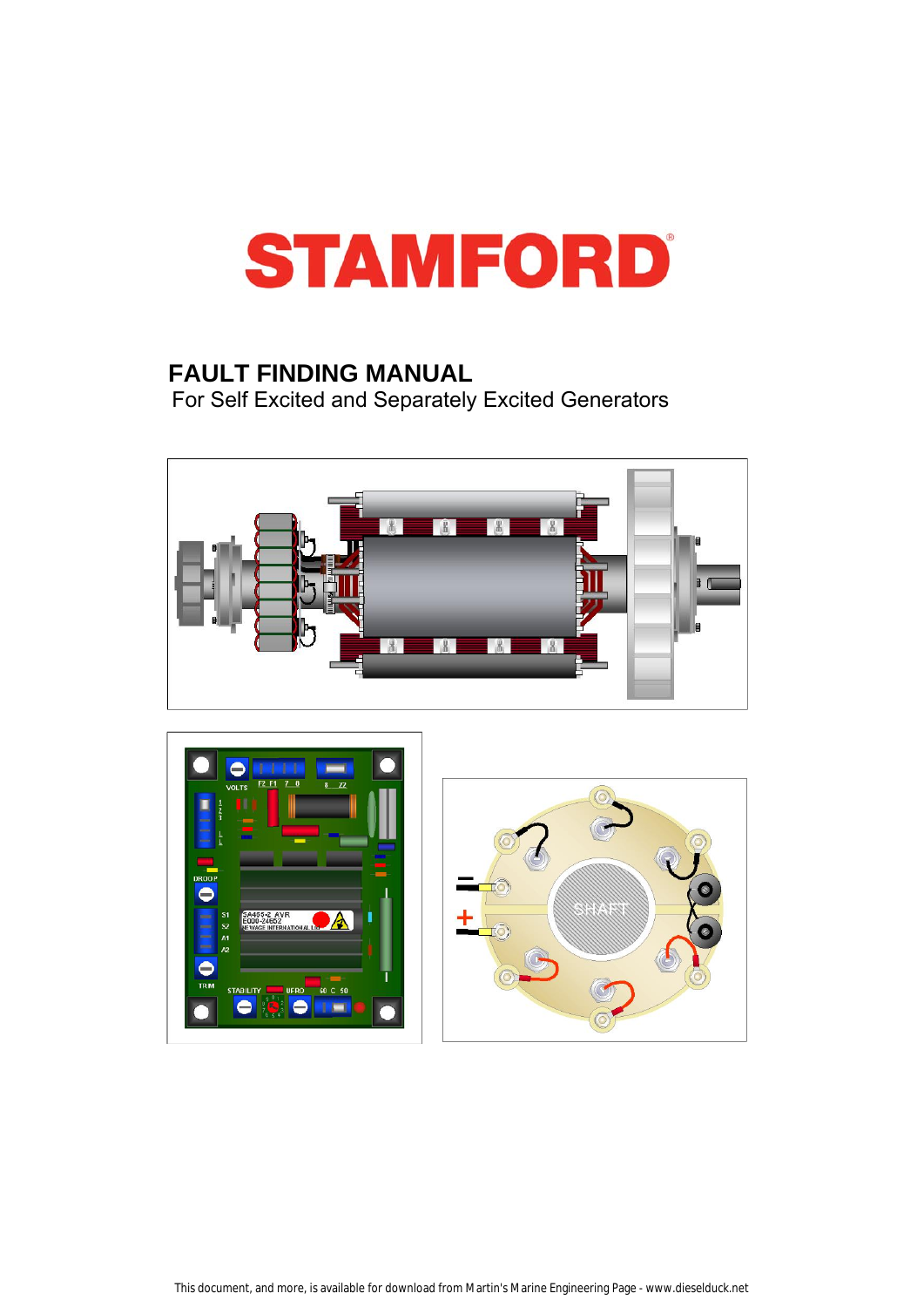

# **FAULT FINDING MANUAL**

For Self Excited and Separately Excited Generators



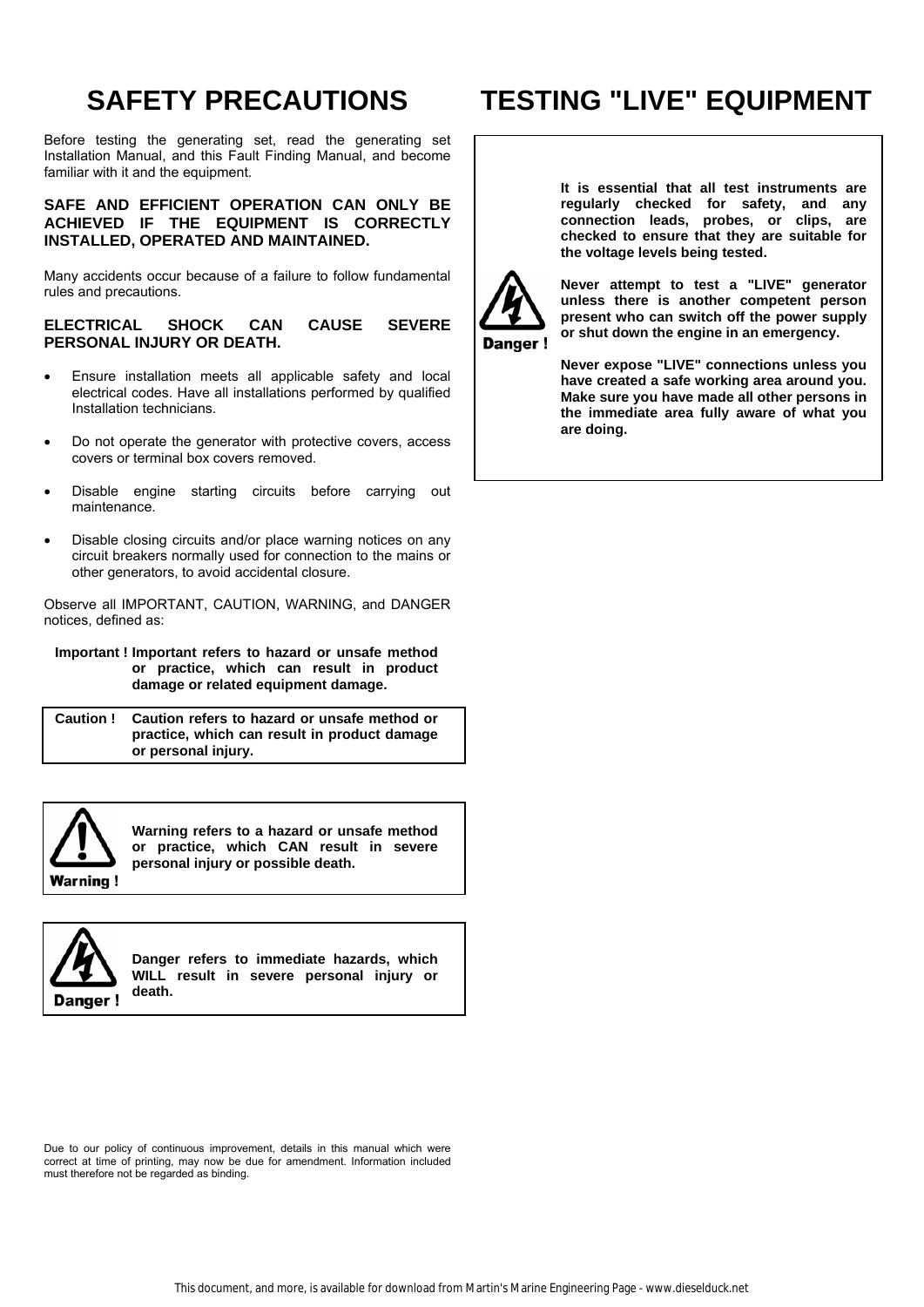# **SAFETY PRECAUTIONS**

Before testing the generating set, read the generating set Installation Manual, and this Fault Finding Manual, and become familiar with it and the equipment.

# **SAFE AND EFFICIENT OPERATION CAN ONLY BE ACHIEVED IF THE EQUIPMENT IS CORRECTLY INSTALLED, OPERATED AND MAINTAINED.**

Many accidents occur because of a failure to follow fundamental rules and precautions.

# **ELECTRICAL SHOCK CAN CAUSE SEVERE PERSONAL INJURY OR DEATH.**

- Ensure installation meets all applicable safety and local electrical codes. Have all installations performed by qualified Installation technicians.
- Do not operate the generator with protective covers, access covers or terminal box covers removed.
- Disable engine starting circuits before carrying out maintenance.
- Disable closing circuits and/or place warning notices on any circuit breakers normally used for connection to the mains or other generators, to avoid accidental closure.

Observe all IMPORTANT, CAUTION, WARNING, and DANGER notices, defined as:

#### **Important ! Important refers to hazard or unsafe method or practice, which can result in product damage or related equipment damage.**

**Caution ! Caution refers to hazard or unsafe method or practice, which can result in product damage or personal injury.** 



**Warning refers to a hazard or unsafe method or practice, which CAN result in severe personal injury or possible death.** 



**Danger refers to immediate hazards, which WILL result in severe personal injury or death.** 

Due to our policy of continuous improvement, details in this manual which were correct at time of printing, may now be due for amendment. Information included must therefore not be regarded as binding.

# **TESTING "LIVE" EQUIPMENT**

**It is essential that all test instruments are regularly checked for safety, and any connection leads, probes, or clips, are checked to ensure that they are suitable for the voltage levels being tested.** 



**Never attempt to test a "LIVE" generator unless there is another competent person present who can switch off the power supply or shut down the engine in an emergency.** 

**Never expose "LIVE" connections unless you have created a safe working area around you. Make sure you have made all other persons in the immediate area fully aware of what you are doing.**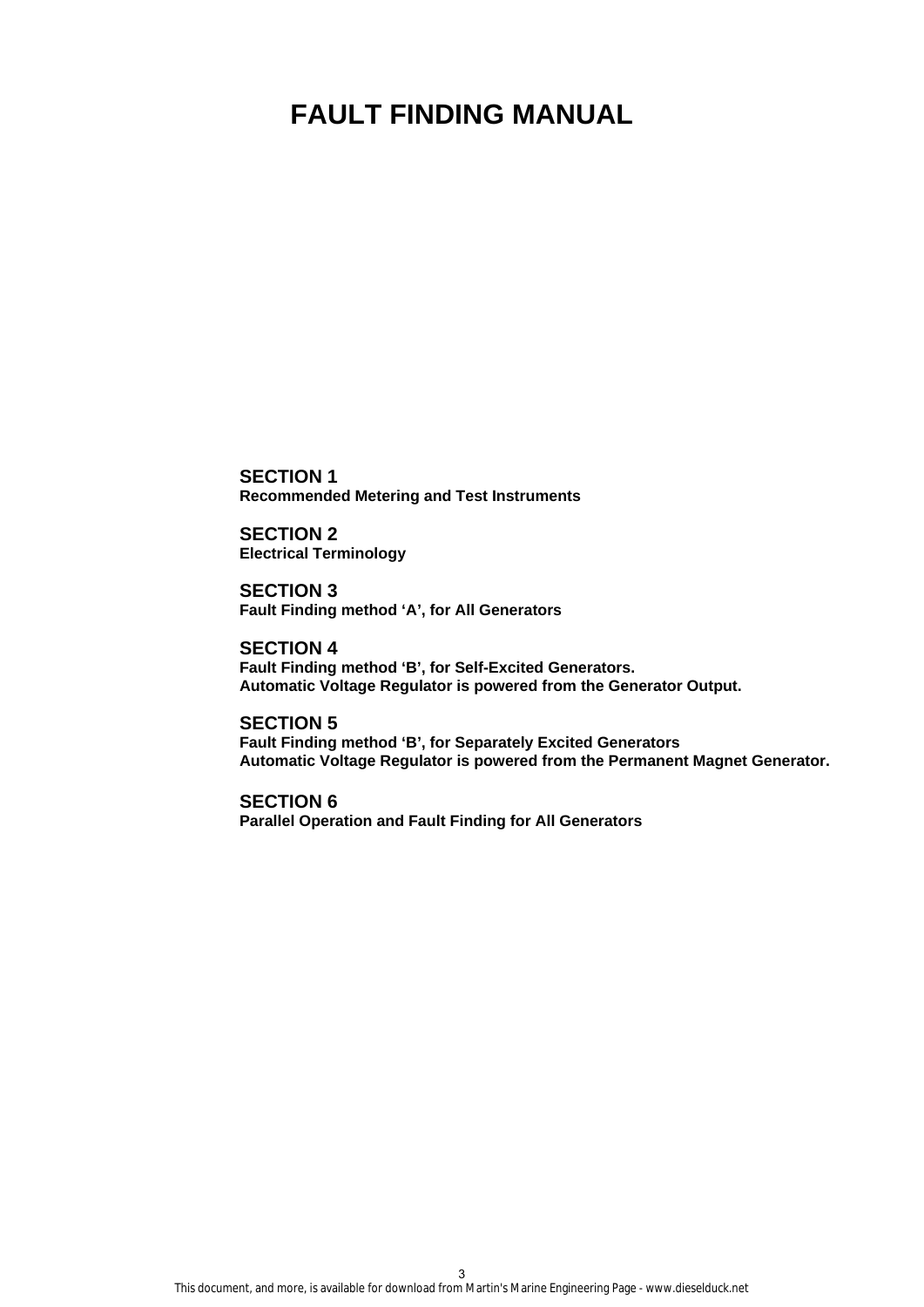# **FAULT FINDING MANUAL**

**SECTION 1 Recommended Metering and Test Instruments** 

**SECTION 2 Electrical Terminology** 

**SECTION 3 Fault Finding method 'A', for All Generators** 

**SECTION 4 Fault Finding method 'B', for Self-Excited Generators. Automatic Voltage Regulator is powered from the Generator Output.** 

**SECTION 5 Fault Finding method 'B', for Separately Excited Generators Automatic Voltage Regulator is powered from the Permanent Magnet Generator.** 

**SECTION 6 Parallel Operation and Fault Finding for All Generators**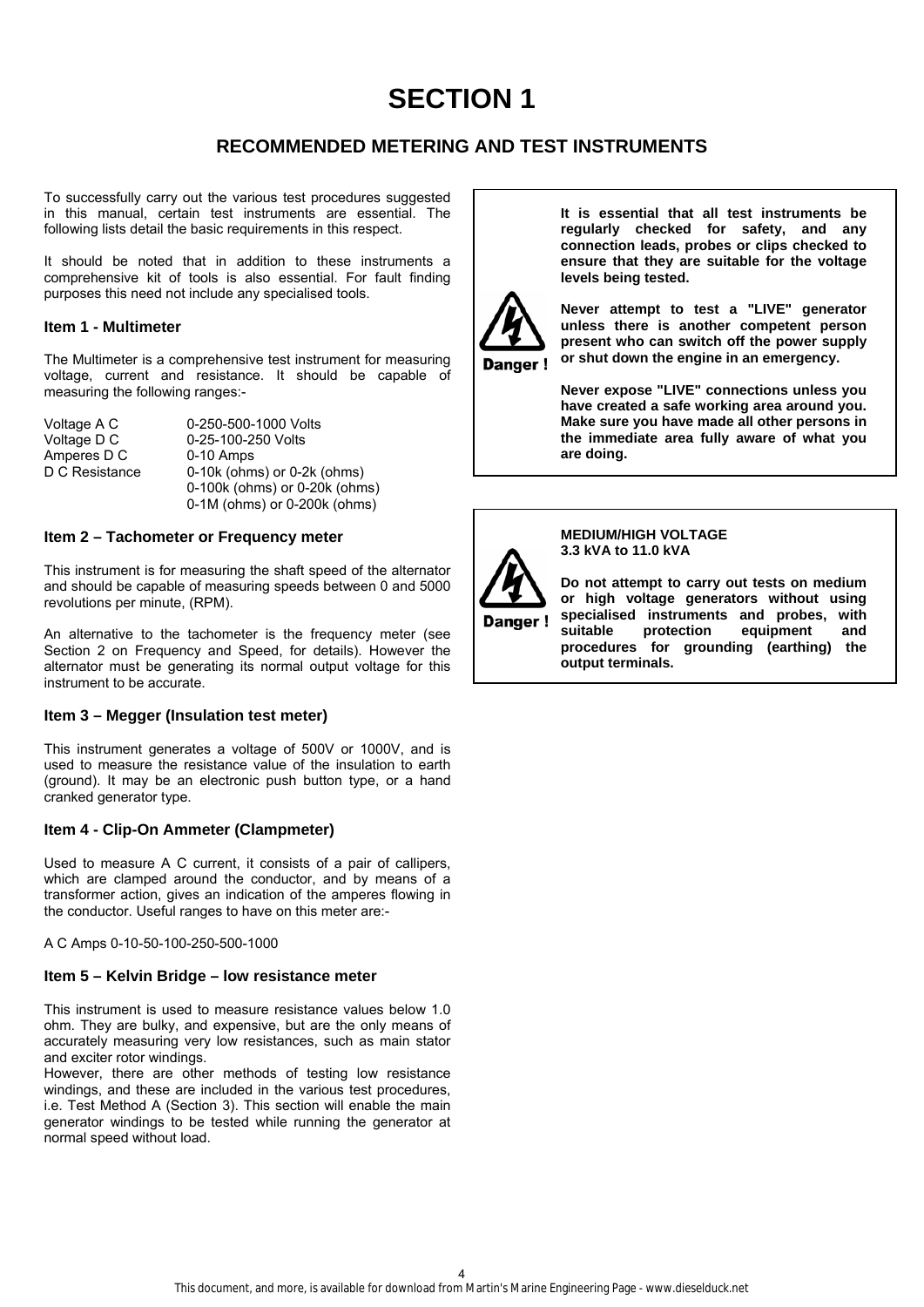# **SECTION 1**

# **RECOMMENDED METERING AND TEST INSTRUMENTS**

To successfully carry out the various test procedures suggested in this manual, certain test instruments are essential. The following lists detail the basic requirements in this respect.

It should be noted that in addition to these instruments a comprehensive kit of tools is also essential. For fault finding purposes this need not include any specialised tools.

#### **Item 1 - Multimeter**

The Multimeter is a comprehensive test instrument for measuring voltage, current and resistance. It should be capable of measuring the following ranges:-

| Voltage A C    |
|----------------|
| Voltage D C    |
| Amperes D C    |
| D C Resistance |
|                |

0-250-500-1000 Volts 0-25-100-250 Volts  $0-10$  Amps  $0-10k$  (ohms) or  $0-2k$  (ohms) 0-100k (ohms) or 0-20k (ohms) 0-1M (ohms) or 0-200k (ohms)

#### **Item 2 – Tachometer or Frequency meter**

This instrument is for measuring the shaft speed of the alternator and should be capable of measuring speeds between 0 and 5000 revolutions per minute, (RPM).

An alternative to the tachometer is the frequency meter (see Section 2 on Frequency and Speed, for details). However the alternator must be generating its normal output voltage for this instrument to be accurate.

#### **Item 3 – Megger (Insulation test meter)**

This instrument generates a voltage of 500V or 1000V, and is used to measure the resistance value of the insulation to earth (ground). It may be an electronic push button type, or a hand cranked generator type.

# **Item 4 - Clip-On Ammeter (Clampmeter)**

Used to measure A C current, it consists of a pair of callipers, which are clamped around the conductor, and by means of a transformer action, gives an indication of the amperes flowing in the conductor. Useful ranges to have on this meter are:-

A C Amps 0-10-50-100-250-500-1000

#### **Item 5 – Kelvin Bridge – low resistance meter**

This instrument is used to measure resistance values below 1.0 ohm. They are bulky, and expensive, but are the only means of accurately measuring very low resistances, such as main stator and exciter rotor windings.

However, there are other methods of testing low resistance windings, and these are included in the various test procedures, i.e. Test Method A (Section 3). This section will enable the main generator windings to be tested while running the generator at normal speed without load.

**It is essential that all test instruments be regularly checked for safety, and any connection leads, probes or clips checked to ensure that they are suitable for the voltage levels being tested.** 



**Never attempt to test a "LIVE" generator unless there is another competent person present who can switch off the power supply or shut down the engine in an emergency.** 

**Never expose "LIVE" connections unless you have created a safe working area around you. Make sure you have made all other persons in the immediate area fully aware of what you are doing.** 



**MEDIUM/HIGH VOLTAGE 3.3 kVA to 11.0 kVA** 

**Do not attempt to carry out tests on medium or high voltage generators without using specialised instruments and probes, with suitable protection equipment and procedures for grounding (earthing) the output terminals.**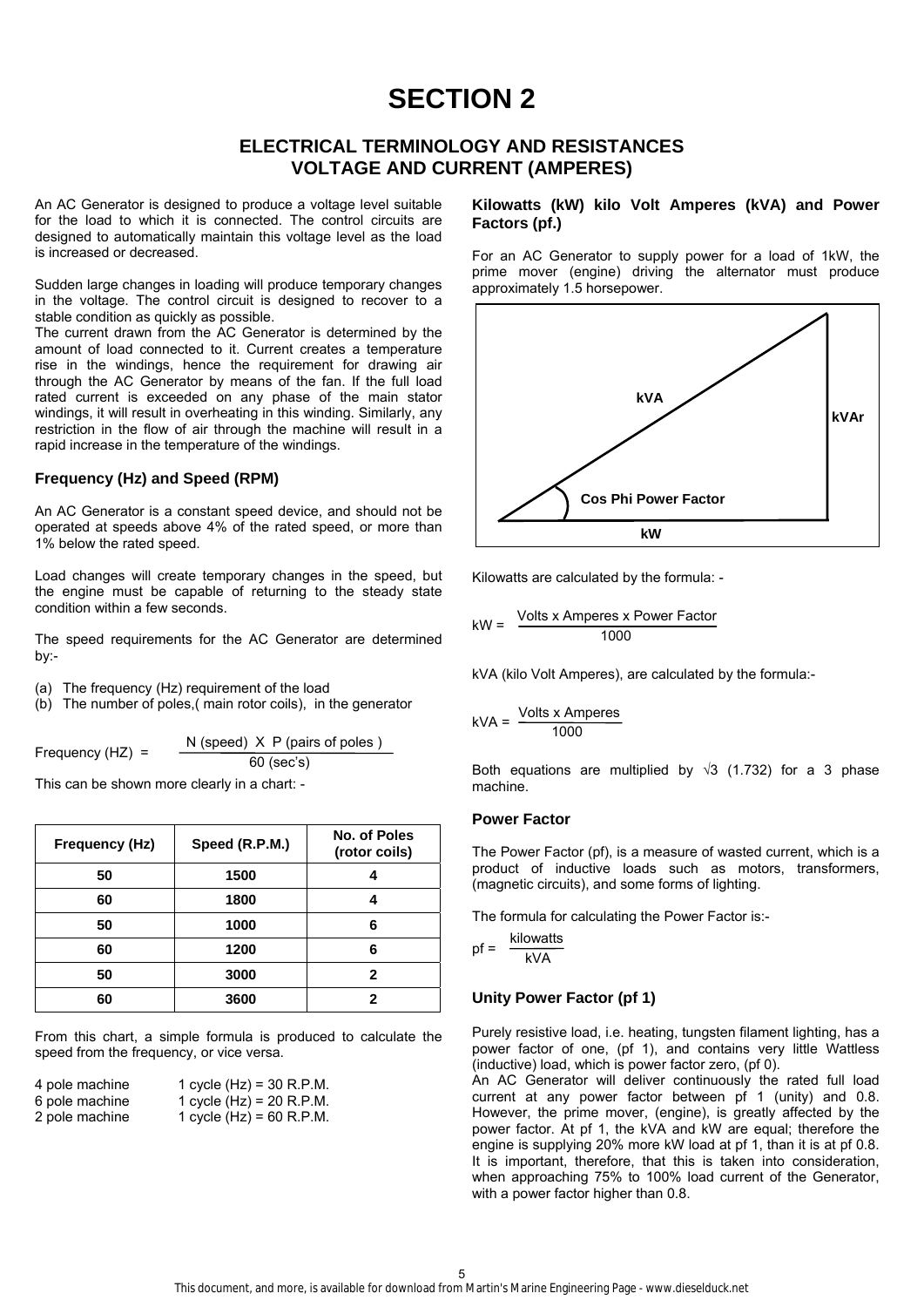# **SECTION 2**

# **ELECTRICAL TERMINOLOGY AND RESISTANCES VOLTAGE AND CURRENT (AMPERES)**

An AC Generator is designed to produce a voltage level suitable for the load to which it is connected. The control circuits are designed to automatically maintain this voltage level as the load is increased or decreased.

Sudden large changes in loading will produce temporary changes in the voltage. The control circuit is designed to recover to a stable condition as quickly as possible.

The current drawn from the AC Generator is determined by the amount of load connected to it. Current creates a temperature rise in the windings, hence the requirement for drawing air through the AC Generator by means of the fan. If the full load rated current is exceeded on any phase of the main stator windings, it will result in overheating in this winding. Similarly, any restriction in the flow of air through the machine will result in a rapid increase in the temperature of the windings.

### **Frequency (Hz) and Speed (RPM)**

An AC Generator is a constant speed device, and should not be operated at speeds above 4% of the rated speed, or more than 1% below the rated speed.

Load changes will create temporary changes in the speed, but the engine must be capable of returning to the steady state condition within a few seconds.

The speed requirements for the AC Generator are determined by:-

(a) The frequency (Hz) requirement of the load

(b) The number of poles,( main rotor coils), in the generator

Frequency (HZ) = N (speed) X P (pairs of poles ) 60 (sec's)

This can be shown more clearly in a chart: -

| Frequency (Hz) | Speed (R.P.M.) | No. of Poles<br>(rotor coils) |
|----------------|----------------|-------------------------------|
| 50             | 1500           |                               |
| 60             | 1800           |                               |
| 50             | 1000           | 6                             |
| 60             | 1200           | 6                             |
| 50             | 3000           | 2                             |
| 60             | 3600           | 2                             |

From this chart, a simple formula is produced to calculate the speed from the frequency, or vice versa.

| 4 pole machine | 1 cycle $(Hz) = 30 R.P.M.$ |
|----------------|----------------------------|
| 6 pole machine | 1 cycle $(Hz) = 20 R.P.M.$ |
| 2 pole machine | 1 cycle $(Hz) = 60$ R.P.M. |

### **Kilowatts (kW) kilo Volt Amperes (kVA) and Power Factors (pf.)**

For an AC Generator to supply power for a load of 1kW, the prime mover (engine) driving the alternator must produce approximately 1.5 horsepower.



Kilowatts are calculated by the formula: -

$$
kW = \frac{\text{Volts} \times \text{Amperes} \times \text{Power Factor}}{1000}
$$

kVA (kilo Volt Amperes), are calculated by the formula:-

$$
kVA = \frac{Volts \times Amperes}{1000}
$$

Both equations are multiplied by  $\sqrt{3}$  (1.732) for a 3 phase machine.

#### **Power Factor**

The Power Factor (pf), is a measure of wasted current, which is a product of inductive loads such as motors, transformers, (magnetic circuits), and some forms of lighting.

The formula for calculating the Power Factor is:-

$$
pf = \frac{kilowatts}{kVA}
$$

#### **Unity Power Factor (pf 1)**

Purely resistive load, i.e. heating, tungsten filament lighting, has a power factor of one, (pf 1), and contains very little Wattless (inductive) load, which is power factor zero, (pf 0).

An AC Generator will deliver continuously the rated full load current at any power factor between pf 1 (unity) and 0.8. However, the prime mover, (engine), is greatly affected by the power factor. At pf 1, the kVA and kW are equal; therefore the engine is supplying 20% more kW load at pf 1, than it is at pf 0.8. It is important, therefore, that this is taken into consideration, when approaching 75% to 100% load current of the Generator, with a power factor higher than 0.8.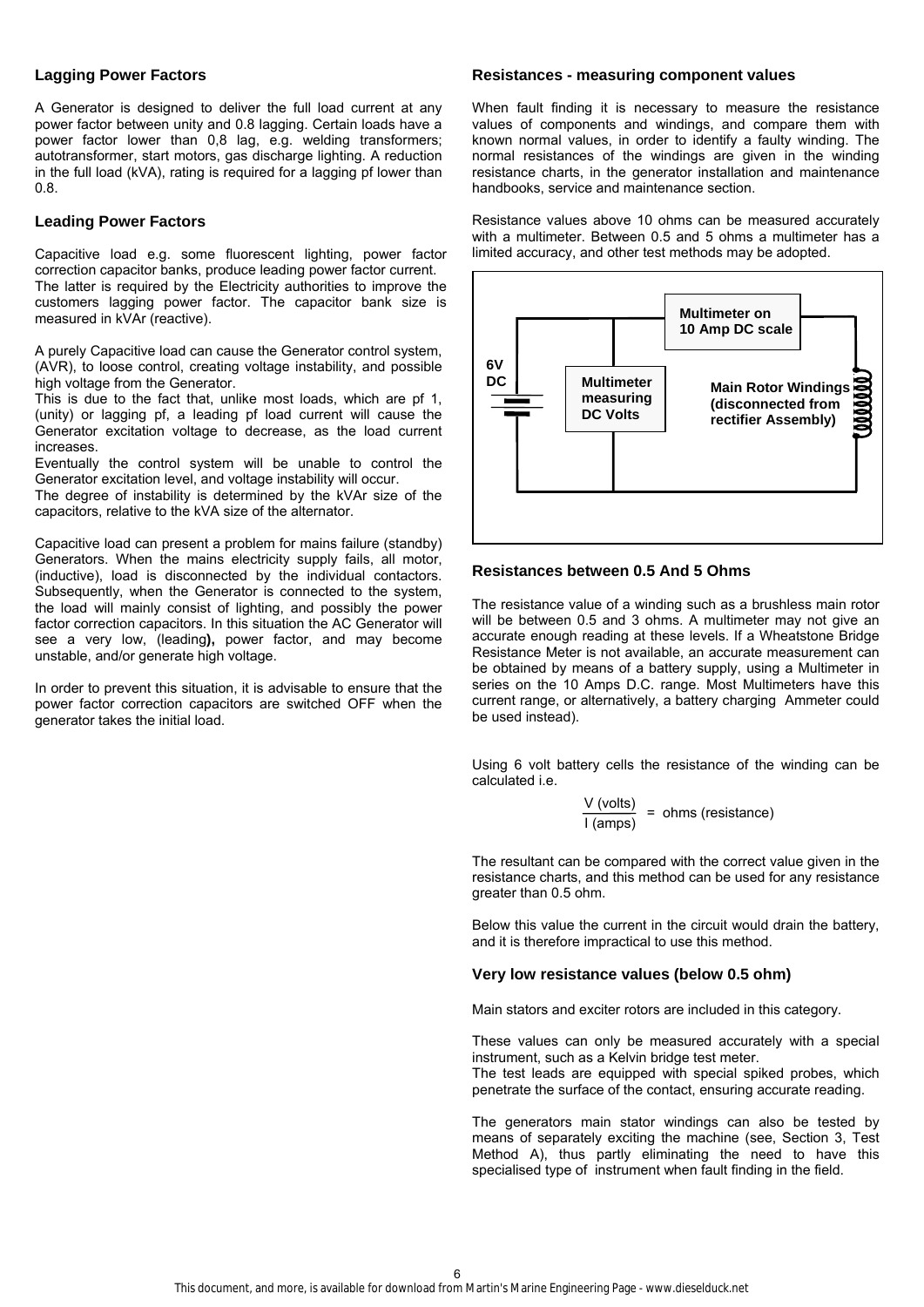#### **Lagging Power Factors**

A Generator is designed to deliver the full load current at any power factor between unity and 0.8 lagging. Certain loads have a power factor lower than 0,8 lag, e.g. welding transformers; autotransformer, start motors, gas discharge lighting. A reduction in the full load (kVA), rating is required for a lagging pf lower than 0.8.

#### **Leading Power Factors**

Capacitive load e.g. some fluorescent lighting, power factor correction capacitor banks, produce leading power factor current. The latter is required by the Electricity authorities to improve the customers lagging power factor. The capacitor bank size is measured in kVAr (reactive).

A purely Capacitive load can cause the Generator control system, (AVR), to loose control, creating voltage instability, and possible high voltage from the Generator.

This is due to the fact that, unlike most loads, which are pf 1, (unity) or lagging pf, a leading pf load current will cause the Generator excitation voltage to decrease, as the load current increases.

Eventually the control system will be unable to control the Generator excitation level, and voltage instability will occur.

The degree of instability is determined by the kVAr size of the capacitors, relative to the kVA size of the alternator.

Capacitive load can present a problem for mains failure (standby) Generators. When the mains electricity supply fails, all motor, (inductive), load is disconnected by the individual contactors. Subsequently, when the Generator is connected to the system, the load will mainly consist of lighting, and possibly the power factor correction capacitors. In this situation the AC Generator will see a very low, (leading**),** power factor, and may become unstable, and/or generate high voltage.

In order to prevent this situation, it is advisable to ensure that the power factor correction capacitors are switched OFF when the generator takes the initial load.

#### **Resistances - measuring component values**

When fault finding it is necessary to measure the resistance values of components and windings, and compare them with known normal values, in order to identify a faulty winding. The normal resistances of the windings are given in the winding resistance charts, in the generator installation and maintenance handbooks, service and maintenance section.

Resistance values above 10 ohms can be measured accurately with a multimeter. Between 0.5 and 5 ohms a multimeter has a limited accuracy, and other test methods may be adopted.



#### **Resistances between 0.5 And 5 Ohms**

The resistance value of a winding such as a brushless main rotor will be between 0.5 and 3 ohms. A multimeter may not give an accurate enough reading at these levels. If a Wheatstone Bridge Resistance Meter is not available, an accurate measurement can be obtained by means of a battery supply, using a Multimeter in series on the 10 Amps D.C. range. Most Multimeters have this current range, or alternatively, a battery charging Ammeter could be used instead).

Using 6 volt battery cells the resistance of the winding can be calculated i.e.

$$
\frac{V \text{ (volts)}}{I \text{ (amps)}} = \text{ ohms (resistance)}
$$

The resultant can be compared with the correct value given in the resistance charts, and this method can be used for any resistance greater than 0.5 ohm.

Below this value the current in the circuit would drain the battery, and it is therefore impractical to use this method.

#### **Very low resistance values (below 0.5 ohm)**

Main stators and exciter rotors are included in this category.

These values can only be measured accurately with a special instrument, such as a Kelvin bridge test meter. The test leads are equipped with special spiked probes, which penetrate the surface of the contact, ensuring accurate reading.

The generators main stator windings can also be tested by means of separately exciting the machine (see, Section 3, Test Method A), thus partly eliminating the need to have this specialised type of instrument when fault finding in the field.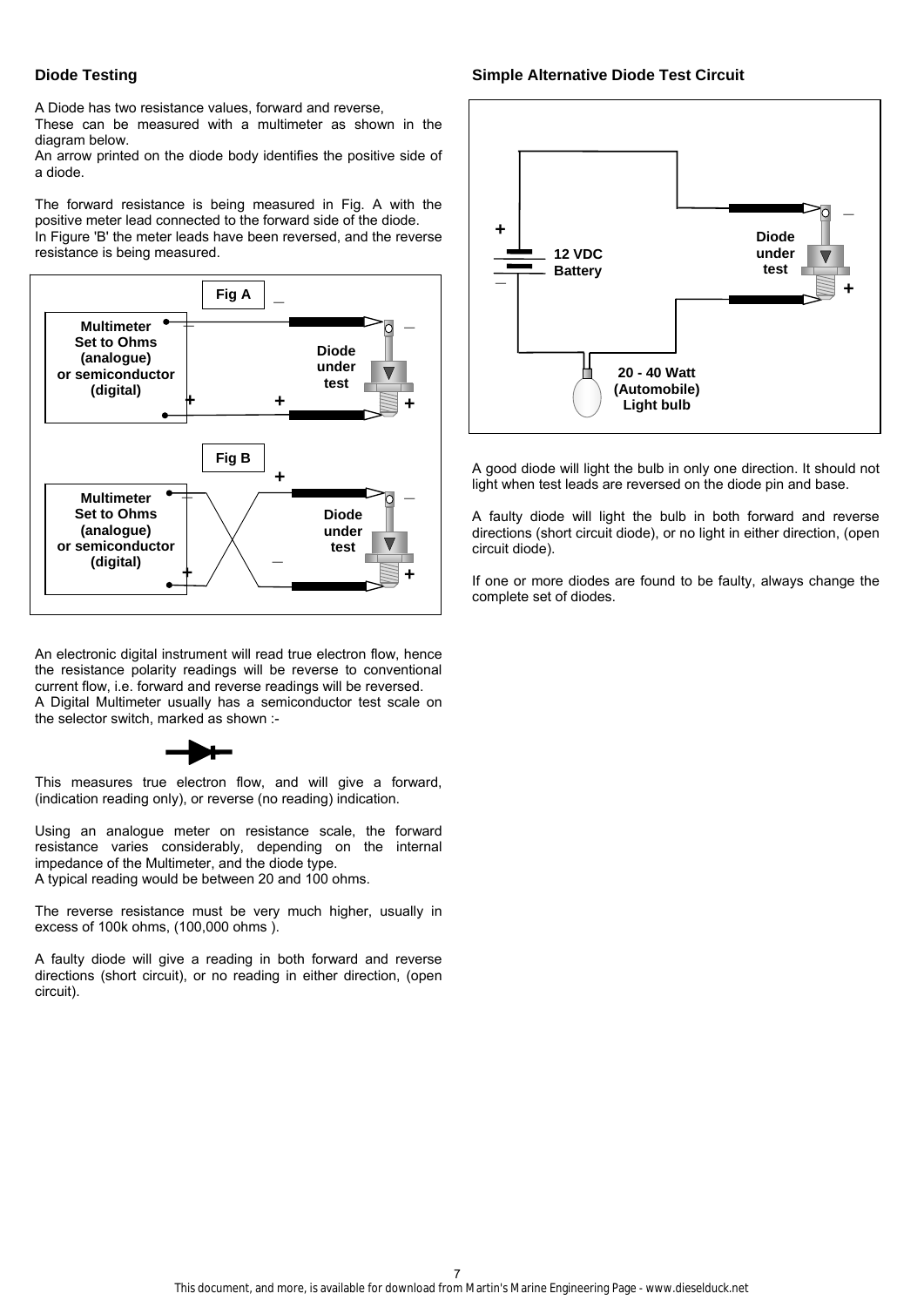### **Diode Testing**

A Diode has two resistance values, forward and reverse,

These can be measured with a multimeter as shown in the diagram below.

An arrow printed on the diode body identifies the positive side of a diode.

The forward resistance is being measured in Fig. A with the positive meter lead connected to the forward side of the diode. In Figure 'B' the meter leads have been reversed, and the reverse resistance is being measured.



An electronic digital instrument will read true electron flow, hence the resistance polarity readings will be reverse to conventional current flow, i.e. forward and reverse readings will be reversed. A Digital Multimeter usually has a semiconductor test scale on the selector switch, marked as shown :-



This measures true electron flow, and will give a forward, (indication reading only), or reverse (no reading) indication.

Using an analogue meter on resistance scale, the forward resistance varies considerably, depending on the internal impedance of the Multimeter, and the diode type. A typical reading would be between 20 and 100 ohms.

The reverse resistance must be very much higher, usually in excess of 100k ohms, (100,000 ohms ).

A faulty diode will give a reading in both forward and reverse directions (short circuit), or no reading in either direction, (open circuit).

#### **Simple Alternative Diode Test Circuit**



A good diode will light the bulb in only one direction. It should not light when test leads are reversed on the diode pin and base.

A faulty diode will light the bulb in both forward and reverse directions (short circuit diode), or no light in either direction, (open circuit diode).

If one or more diodes are found to be faulty, always change the complete set of diodes.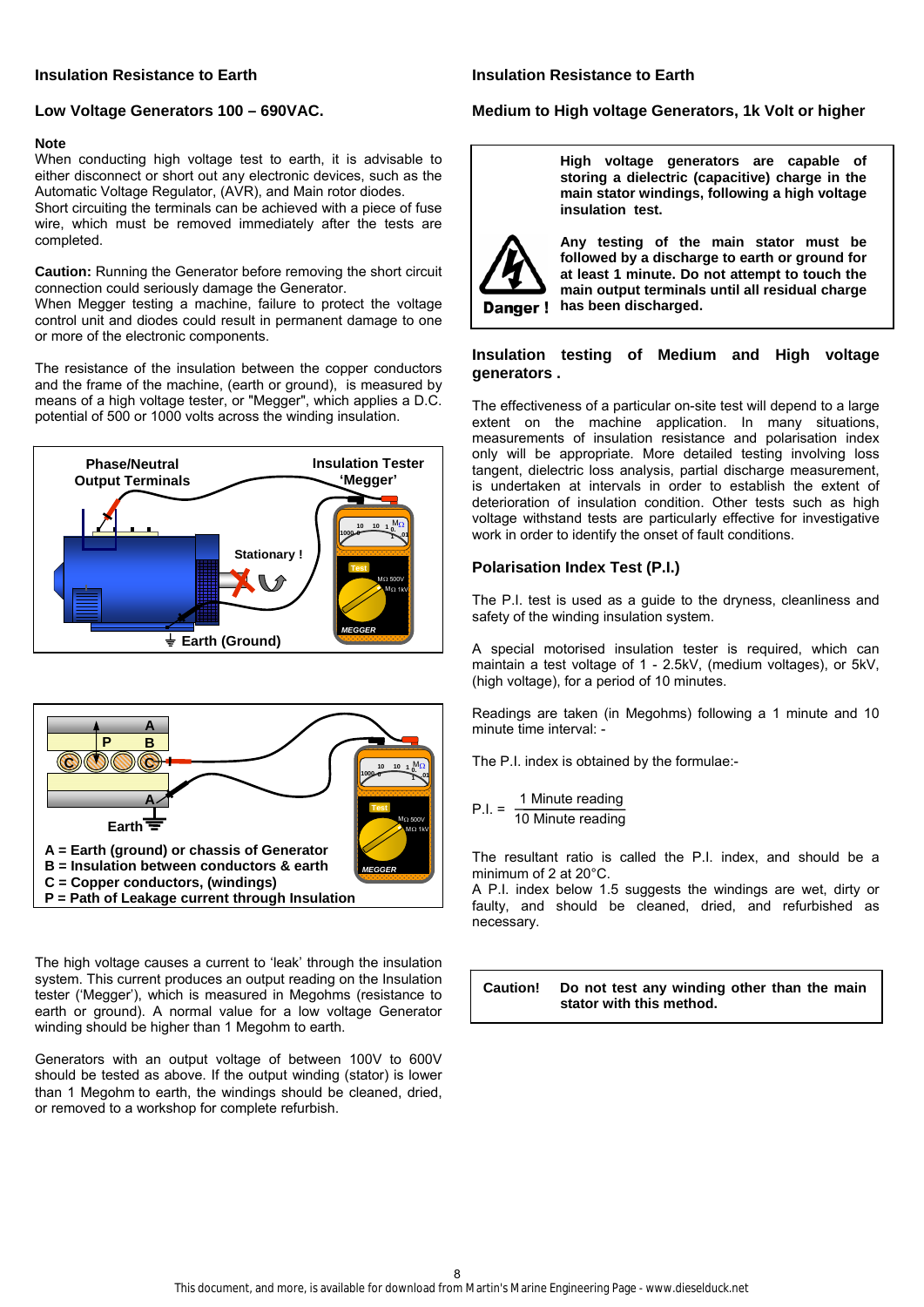#### **Insulation Resistance to Earth**

#### **Insulation Resistance to Earth**

### **Low Voltage Generators 100 – 690VAC.**

#### **Note**

When conducting high voltage test to earth, it is advisable to either disconnect or short out any electronic devices, such as the Automatic Voltage Regulator, (AVR), and Main rotor diodes. Short circuiting the terminals can be achieved with a piece of fuse wire, which must be removed immediately after the tests are completed.

**Caution:** Running the Generator before removing the short circuit connection could seriously damage the Generator.

When Megger testing a machine, failure to protect the voltage control unit and diodes could result in permanent damage to one or more of the electronic components.

The resistance of the insulation between the copper conductors and the frame of the machine, (earth or ground), is measured by means of a high voltage tester, or "Megger", which applies a D.C. potential of 500 or 1000 volts across the winding insulation.





The high voltage causes a current to 'leak' through the insulation system. This current produces an output reading on the Insulation tester ('Megger'), which is measured in Megohms (resistance to earth or ground). A normal value for a low voltage Generator winding should be higher than 1 Megohm to earth.

Generators with an output voltage of between 100V to 600V should be tested as above. If the output winding (stator) is lower than 1 Megohm to earth, the windings should be cleaned, dried, or removed to a workshop for complete refurbish.

#### **Medium to High voltage Generators, 1k Volt or higher**

**High voltage generators are capable of storing a dielectric (capacitive) charge in the main stator windings, following a high voltage insulation test.** 



**Any testing of the main stator must be followed by a discharge to earth or ground for at least 1 minute. Do not attempt to touch the main output terminals until all residual charge Danger!** has been discharged.

### **Insulation testing of Medium and High voltage generators .**

The effectiveness of a particular on-site test will depend to a large extent on the machine application. In many situations, measurements of insulation resistance and polarisation index only will be appropriate. More detailed testing involving loss tangent, dielectric loss analysis, partial discharge measurement, is undertaken at intervals in order to establish the extent of deterioration of insulation condition. Other tests such as high voltage withstand tests are particularly effective for investigative work in order to identify the onset of fault conditions.

#### **Polarisation Index Test (P.I.)**

The P.I. test is used as a guide to the dryness, cleanliness and safety of the winding insulation system.

A special motorised insulation tester is required, which can maintain a test voltage of 1 - 2.5kV, (medium voltages), or 5kV, (high voltage), for a period of 10 minutes.

Readings are taken (in Megohms) following a 1 minute and 10 minute time interval: -

The P.I. index is obtained by the formulae:-

$$
P.I. = \frac{1 \text{ Minute reading}}{10 \text{ Minute reading}}
$$

The resultant ratio is called the P.I. index, and should be a minimum of 2 at 20°C.

A P.I. index below 1.5 suggests the windings are wet, dirty or faulty, and should be cleaned, dried, and refurbished as necessary.

**Caution! Do not test any winding other than the main stator with this method.**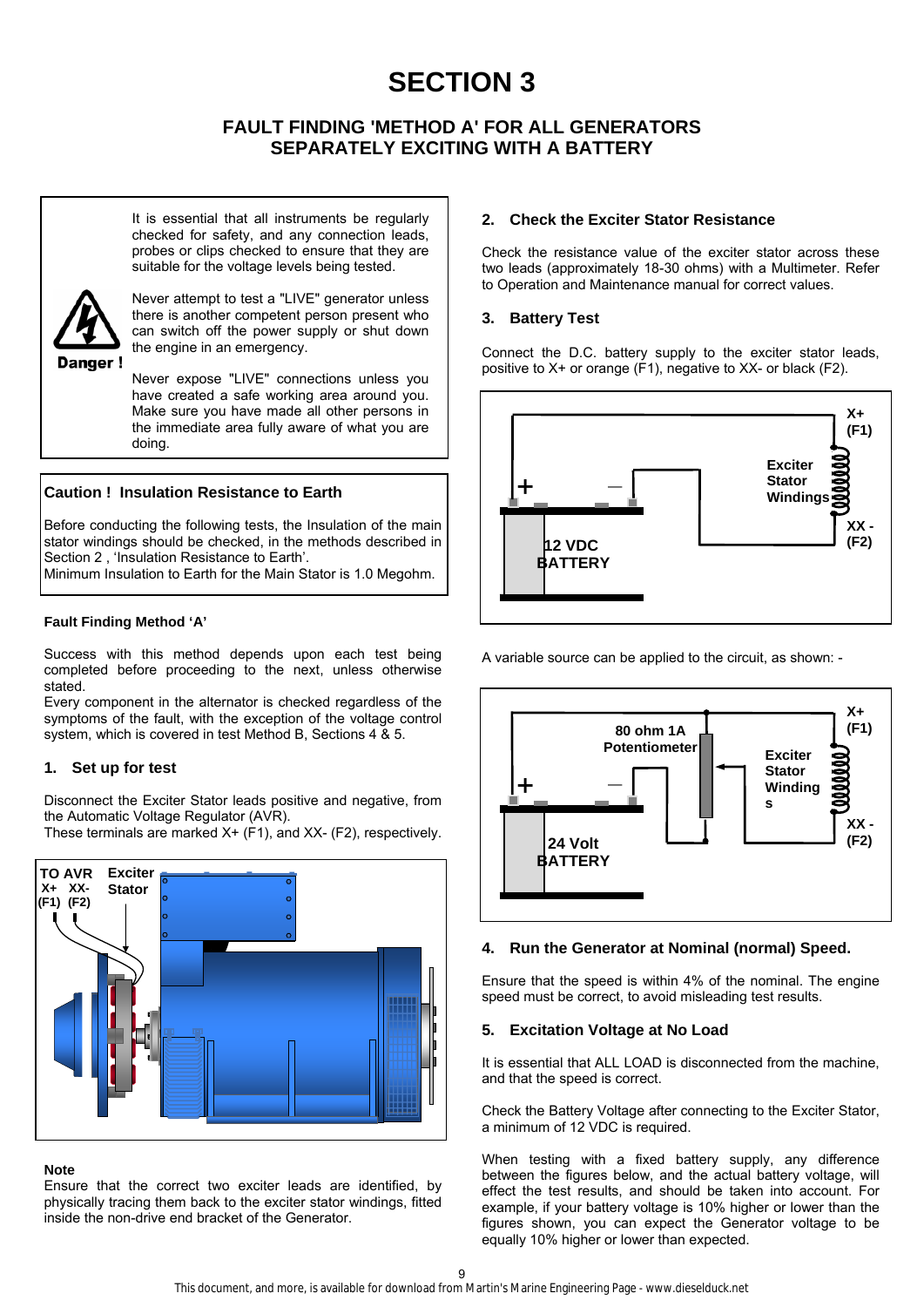# **SECTION 3**

# **FAULT FINDING 'METHOD A' FOR ALL GENERATORS SEPARATELY EXCITING WITH A BATTERY**

It is essential that all instruments be regularly checked for safety, and any connection leads, probes or clips checked to ensure that they are suitable for the voltage levels being tested.



Never attempt to test a "LIVE" generator unless there is another competent person present who can switch off the power supply or shut down the engine in an emergency.

Never expose "LIVE" connections unless you have created a safe working area around you. Make sure you have made all other persons in the immediate area fully aware of what you are doing.

# **Caution ! Insulation Resistance to Earth**

Before conducting the following tests, the Insulation of the main stator windings should be checked, in the methods described in Section 2 , 'Insulation Resistance to Earth'.

Minimum Insulation to Earth for the Main Stator is 1.0 Megohm.

# **Fault Finding Method 'A'**

Success with this method depends upon each test being completed before proceeding to the next, unless otherwise stated.

Every component in the alternator is checked regardless of the symptoms of the fault, with the exception of the voltage control system, which is covered in test Method B, Sections 4 & 5.

# **1. Set up for test**

Disconnect the Exciter Stator leads positive and negative, from the Automatic Voltage Regulator (AVR).

These terminals are marked X+ (F1), and XX- (F2), respectively.



# **Note**

Ensure that the correct two exciter leads are identified, by physically tracing them back to the exciter stator windings, fitted inside the non-drive end bracket of the Generator.

# **2. Check the Exciter Stator Resistance**

Check the resistance value of the exciter stator across these two leads (approximately 18-30 ohms) with a Multimeter. Refer to Operation and Maintenance manual for correct values.

# **3. Battery Test**

Connect the D.C. battery supply to the exciter stator leads, positive to X+ or orange (F1), negative to XX- or black (F2).



A variable source can be applied to the circuit, as shown: -



# **4. Run the Generator at Nominal (normal) Speed.**

Ensure that the speed is within 4% of the nominal. The engine speed must be correct, to avoid misleading test results.

# **5. Excitation Voltage at No Load**

It is essential that ALL LOAD is disconnected from the machine. and that the speed is correct.

Check the Battery Voltage after connecting to the Exciter Stator, a minimum of 12 VDC is required.

When testing with a fixed battery supply, any difference between the figures below, and the actual battery voltage, will effect the test results, and should be taken into account. For example, if your battery voltage is 10% higher or lower than the figures shown, you can expect the Generator voltage to be equally 10% higher or lower than expected.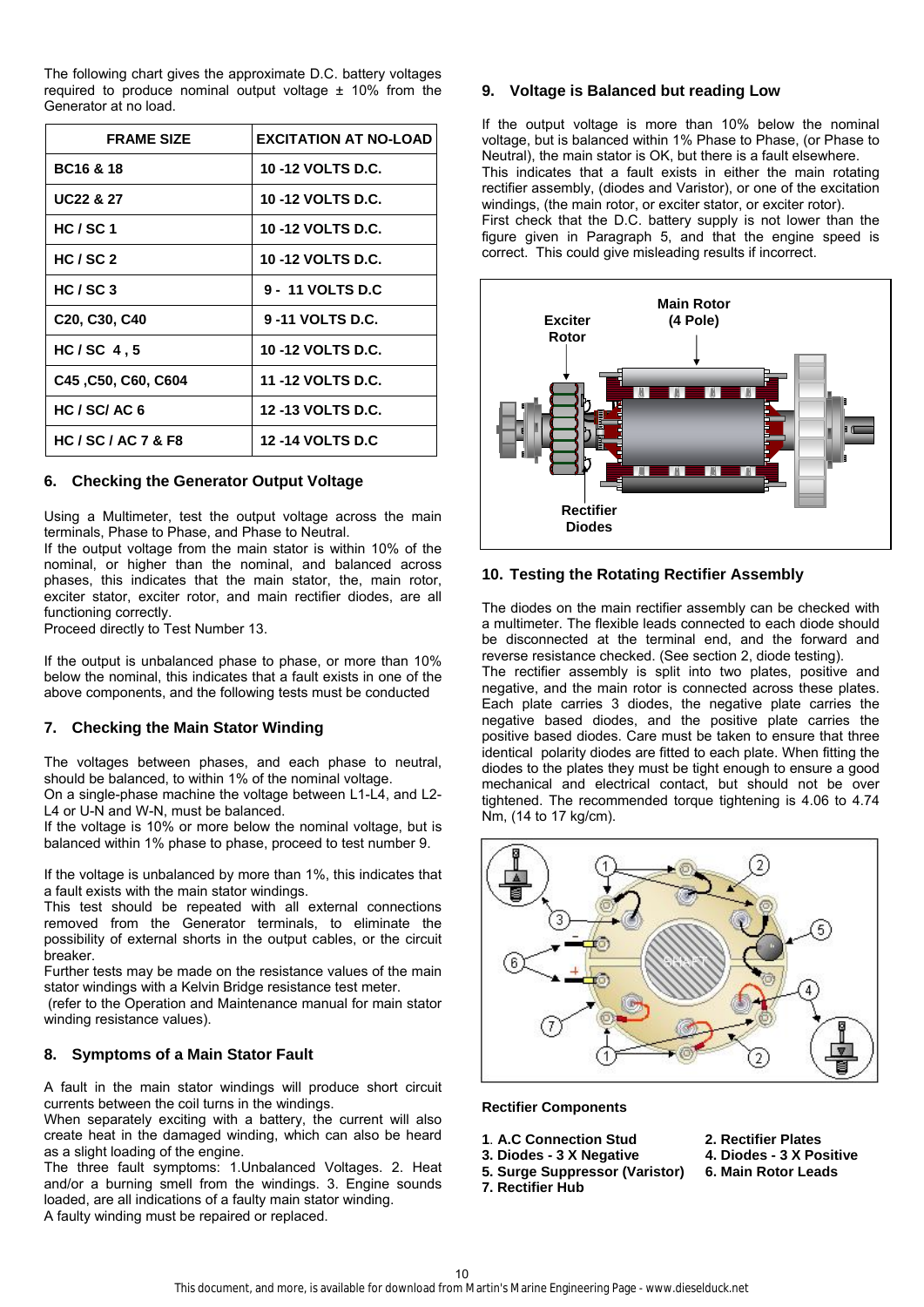The following chart gives the approximate D.C. battery voltages required to produce nominal output voltage ± 10% from the Generator at no load.

| <b>FRAME SIZE</b>                                   | <b>EXCITATION AT NO-LOAD</b> |
|-----------------------------------------------------|------------------------------|
| <b>BC16 &amp; 18</b>                                | 10-12 VOLTS D.C.             |
| <b>UC22 &amp; 27</b>                                | 10 -12 VOLTS D.C.            |
| HC/SC1                                              | <b>10 -12 VOLTS D.C.</b>     |
| HC/SC <sub>2</sub>                                  | 10 -12 VOLTS D.C.            |
| HC/SC3                                              | 9 - 11 VOLTS D.C             |
| C <sub>20</sub> , C <sub>30</sub> , C <sub>40</sub> | 9-11 VOLTS D.C.              |
| $HC/SC$ 4,5                                         | <b>10 -12 VOLTS D.C.</b>     |
| C45, C50, C60, C604                                 | 11 -12 VOLTS D.C.            |
| HC / SC/AC 6                                        | <b>12-13 VOLTS D.C.</b>      |
| <b>HC/SC/AC7&amp;F8</b>                             | <b>12-14 VOLTS D.C</b>       |

# **6. Checking the Generator Output Voltage**

Using a Multimeter, test the output voltage across the main terminals, Phase to Phase, and Phase to Neutral.

If the output voltage from the main stator is within 10% of the nominal, or higher than the nominal, and balanced across phases, this indicates that the main stator, the, main rotor, exciter stator, exciter rotor, and main rectifier diodes, are all functioning correctly.

Proceed directly to Test Number 13.

If the output is unbalanced phase to phase, or more than 10% below the nominal, this indicates that a fault exists in one of the above components, and the following tests must be conducted

# **7. Checking the Main Stator Winding**

The voltages between phases, and each phase to neutral, should be balanced, to within 1% of the nominal voltage.

On a single-phase machine the voltage between L1-L4, and L2- L4 or U-N and W-N, must be balanced.

If the voltage is 10% or more below the nominal voltage, but is balanced within 1% phase to phase, proceed to test number 9.

If the voltage is unbalanced by more than 1%, this indicates that a fault exists with the main stator windings.

This test should be repeated with all external connections removed from the Generator terminals, to eliminate the possibility of external shorts in the output cables, or the circuit breaker.

Further tests may be made on the resistance values of the main stator windings with a Kelvin Bridge resistance test meter.

 (refer to the Operation and Maintenance manual for main stator winding resistance values).

# **8. Symptoms of a Main Stator Fault**

A fault in the main stator windings will produce short circuit currents between the coil turns in the windings.

When separately exciting with a battery, the current will also create heat in the damaged winding, which can also be heard as a slight loading of the engine.

The three fault symptoms: 1.Unbalanced Voltages. 2. Heat and/or a burning smell from the windings. 3. Engine sounds loaded, are all indications of a faulty main stator winding. A faulty winding must be repaired or replaced.

# **9. Voltage is Balanced but reading Low**

If the output voltage is more than 10% below the nominal voltage, but is balanced within 1% Phase to Phase, (or Phase to Neutral), the main stator is OK, but there is a fault elsewhere. This indicates that a fault exists in either the main rotating rectifier assembly, (diodes and Varistor), or one of the excitation windings, (the main rotor, or exciter stator, or exciter rotor).

First check that the D.C. battery supply is not lower than the figure given in Paragraph 5, and that the engine speed is correct. This could give misleading results if incorrect.



# **10. Testing the Rotating Rectifier Assembly**

The diodes on the main rectifier assembly can be checked with a multimeter. The flexible leads connected to each diode should be disconnected at the terminal end, and the forward and reverse resistance checked. (See section 2, diode testing).

The rectifier assembly is split into two plates, positive and negative, and the main rotor is connected across these plates. Each plate carries 3 diodes, the negative plate carries the negative based diodes, and the positive plate carries the positive based diodes. Care must be taken to ensure that three identical polarity diodes are fitted to each plate. When fitting the diodes to the plates they must be tight enough to ensure a good mechanical and electrical contact, but should not be over tightened. The recommended torque tightening is 4.06 to 4.74 Nm, (14 to 17 kg/cm).



#### **Rectifier Components**

- **1**. **A.C Connection Stud 2. Rectifier Plates**
- **3. Diodes 3 X Negative 4. Diodes 3 X Positive** 
	-
- **7. Rectifier Hub**
- **5. Surge Suppressor (Varistor) 6. Main Rotor Leads**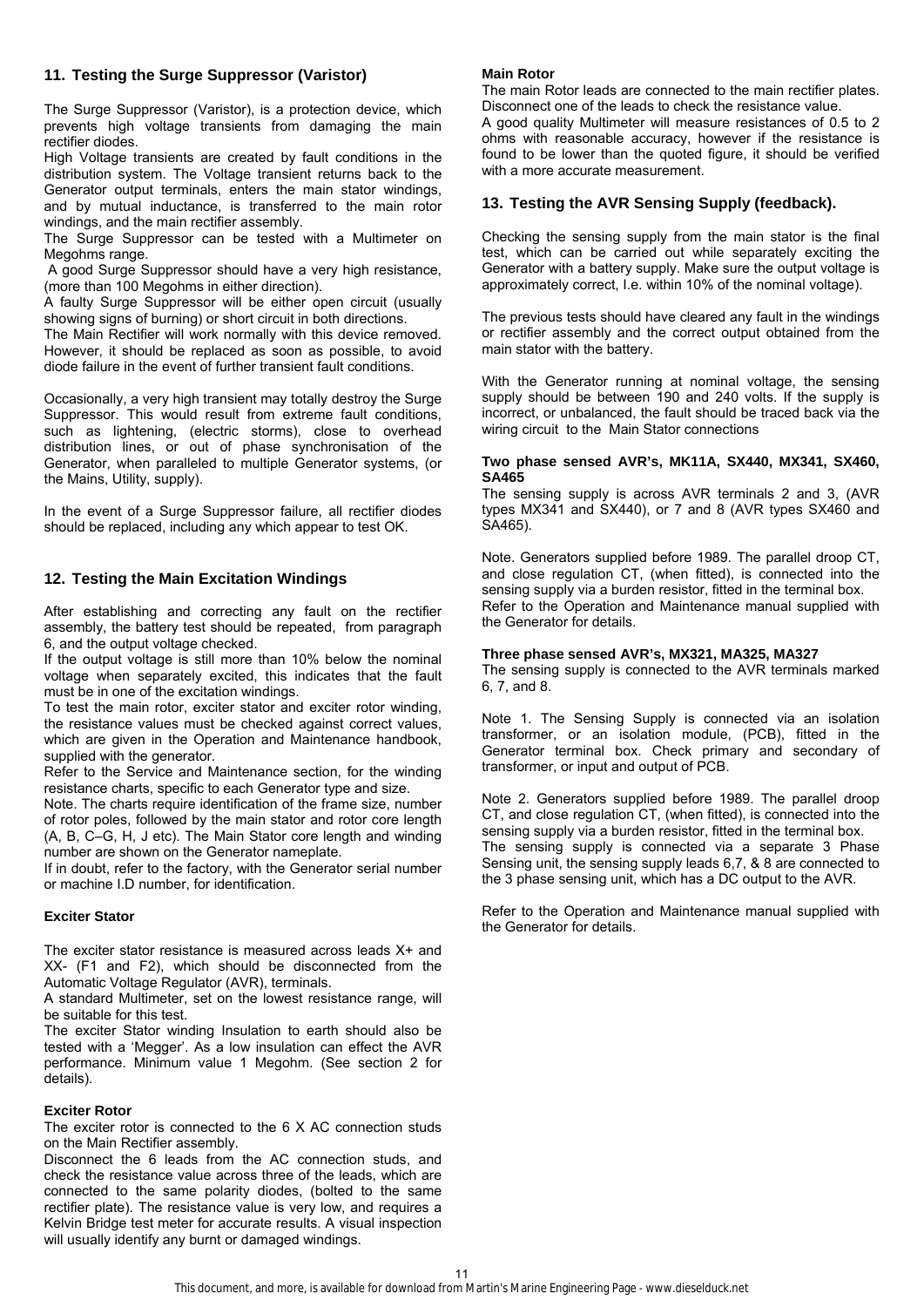# **11. Testing the Surge Suppressor (Varistor)**

The Surge Suppressor (Varistor), is a protection device, which prevents high voltage transients from damaging the main rectifier diodes.

High Voltage transients are created by fault conditions in the distribution system. The Voltage transient returns back to the Generator output terminals, enters the main stator windings, and by mutual inductance, is transferred to the main rotor windings, and the main rectifier assembly.

The Surge Suppressor can be tested with a Multimeter on Megohms range.

 A good Surge Suppressor should have a very high resistance, (more than 100 Megohms in either direction).

A faulty Surge Suppressor will be either open circuit (usually showing signs of burning) or short circuit in both directions.

The Main Rectifier will work normally with this device removed. However, it should be replaced as soon as possible, to avoid diode failure in the event of further transient fault conditions.

Occasionally, a very high transient may totally destroy the Surge Suppressor. This would result from extreme fault conditions, such as lightening, (electric storms), close to overhead distribution lines, or out of phase synchronisation of the Generator, when paralleled to multiple Generator systems, (or the Mains, Utility, supply).

In the event of a Surge Suppressor failure, all rectifier diodes should be replaced, including any which appear to test OK.

# **12. Testing the Main Excitation Windings**

After establishing and correcting any fault on the rectifier assembly, the battery test should be repeated, from paragraph 6, and the output voltage checked.

If the output voltage is still more than 10% below the nominal voltage when separately excited, this indicates that the fault must be in one of the excitation windings.

To test the main rotor, exciter stator and exciter rotor winding, the resistance values must be checked against correct values, which are given in the Operation and Maintenance handbook, supplied with the generator.

Refer to the Service and Maintenance section, for the winding resistance charts, specific to each Generator type and size.

Note. The charts require identification of the frame size, number of rotor poles, followed by the main stator and rotor core length (A, B, C–G, H, J etc). The Main Stator core length and winding number are shown on the Generator nameplate.

If in doubt, refer to the factory, with the Generator serial number or machine I.D number, for identification.

#### **Exciter Stator**

The exciter stator resistance is measured across leads X+ and XX- (F1 and F2), which should be disconnected from the Automatic Voltage Regulator (AVR), terminals.

A standard Multimeter, set on the lowest resistance range, will be suitable for this test.

The exciter Stator winding Insulation to earth should also be tested with a 'Megger'. As a low insulation can effect the AVR performance. Minimum value 1 Megohm. (See section 2 for details).

#### **Exciter Rotor**

The exciter rotor is connected to the 6 X AC connection studs on the Main Rectifier assembly.

Disconnect the 6 leads from the AC connection studs, and check the resistance value across three of the leads, which are connected to the same polarity diodes, (bolted to the same rectifier plate). The resistance value is very low, and requires a Kelvin Bridge test meter for accurate results. A visual inspection will usually identify any burnt or damaged windings.

#### **Main Rotor**

The main Rotor leads are connected to the main rectifier plates. Disconnect one of the leads to check the resistance value.

A good quality Multimeter will measure resistances of 0.5 to 2 ohms with reasonable accuracy, however if the resistance is found to be lower than the quoted figure, it should be verified with a more accurate measurement.

#### **13. Testing the AVR Sensing Supply (feedback).**

Checking the sensing supply from the main stator is the final test, which can be carried out while separately exciting the Generator with a battery supply. Make sure the output voltage is approximately correct, I.e. within 10% of the nominal voltage).

The previous tests should have cleared any fault in the windings or rectifier assembly and the correct output obtained from the main stator with the battery.

With the Generator running at nominal voltage, the sensing supply should be between 190 and 240 volts. If the supply is incorrect, or unbalanced, the fault should be traced back via the wiring circuit to the Main Stator connections

#### **Two phase sensed AVR's, MK11A, SX440, MX341, SX460, SA465**

The sensing supply is across AVR terminals 2 and 3, (AVR types MX341 and SX440), or 7 and 8 (AVR types SX460 and SA465).

Note. Generators supplied before 1989. The parallel droop CT, and close regulation CT, (when fitted), is connected into the sensing supply via a burden resistor, fitted in the terminal box. Refer to the Operation and Maintenance manual supplied with the Generator for details.

#### **Three phase sensed AVR's, MX321, MA325, MA327**

The sensing supply is connected to the AVR terminals marked 6, 7, and 8.

Note 1. The Sensing Supply is connected via an isolation transformer, or an isolation module, (PCB), fitted in the Generator terminal box. Check primary and secondary of transformer, or input and output of PCB.

Note 2. Generators supplied before 1989. The parallel droop CT, and close regulation CT, (when fitted), is connected into the sensing supply via a burden resistor, fitted in the terminal box. The sensing supply is connected via a separate 3 Phase Sensing unit, the sensing supply leads 6,7, & 8 are connected to the 3 phase sensing unit, which has a DC output to the AVR.

Refer to the Operation and Maintenance manual supplied with the Generator for details.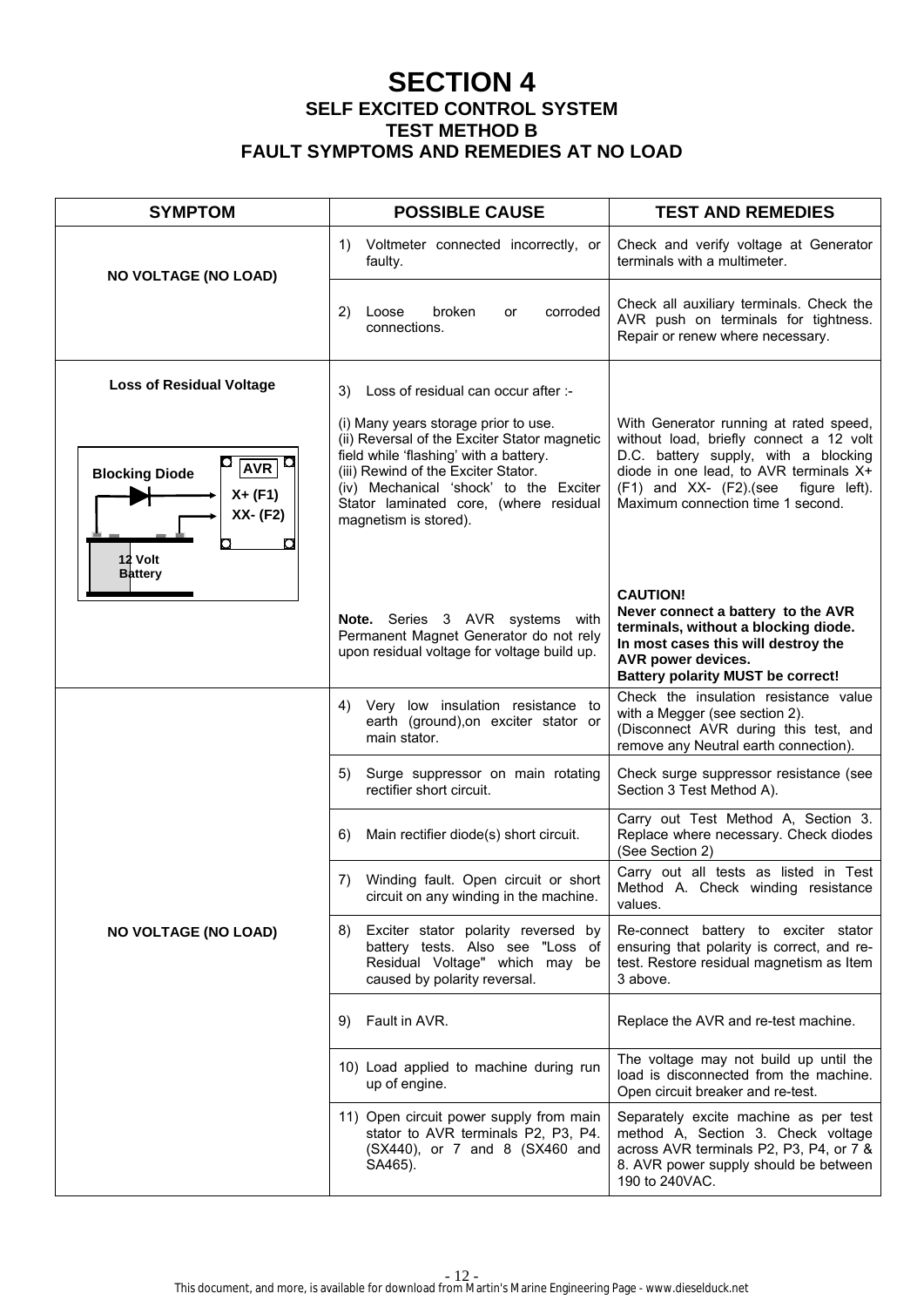# **SECTION 4 SELF EXCITED CONTROL SYSTEM TEST METHOD B FAULT SYMPTOMS AND REMEDIES AT NO LOAD**

| <b>SYMPTOM</b>                                                          | <b>POSSIBLE CAUSE</b>                                                                                                                                                                                                                                                              | <b>TEST AND REMEDIES</b>                                                                                                                                                                                                                                  |
|-------------------------------------------------------------------------|------------------------------------------------------------------------------------------------------------------------------------------------------------------------------------------------------------------------------------------------------------------------------------|-----------------------------------------------------------------------------------------------------------------------------------------------------------------------------------------------------------------------------------------------------------|
| <b>NO VOLTAGE (NO LOAD)</b>                                             | Voltmeter connected incorrectly, or<br>1)<br>faulty.                                                                                                                                                                                                                               | Check and verify voltage at Generator<br>terminals with a multimeter.                                                                                                                                                                                     |
|                                                                         | broken<br>corroded<br>2)<br>Loose<br>or<br>connections.                                                                                                                                                                                                                            | Check all auxiliary terminals. Check the<br>AVR push on terminals for tightness.<br>Repair or renew where necessary.                                                                                                                                      |
| <b>Loss of Residual Voltage</b>                                         | Loss of residual can occur after :-<br>3)                                                                                                                                                                                                                                          |                                                                                                                                                                                                                                                           |
| AVR <br><b>Blocking Diode</b><br>$X + (F1)$<br>XX- (F2)<br>п<br>12 Volt | (i) Many years storage prior to use.<br>(ii) Reversal of the Exciter Stator magnetic<br>field while 'flashing' with a battery.<br>(iii) Rewind of the Exciter Stator.<br>(iv) Mechanical 'shock' to the Exciter<br>Stator laminated core, (where residual<br>magnetism is stored). | With Generator running at rated speed,<br>without load, briefly connect a 12 volt<br>D.C. battery supply, with a blocking<br>diode in one lead, to AVR terminals X+<br>$(F1)$ and XX- $(F2)$ . (see<br>figure left).<br>Maximum connection time 1 second. |
| <b>Battery</b>                                                          | Note. Series 3 AVR systems with<br>Permanent Magnet Generator do not rely<br>upon residual voltage for voltage build up.                                                                                                                                                           | <b>CAUTION!</b><br>Never connect a battery to the AVR<br>terminals, without a blocking diode.<br>In most cases this will destroy the<br>AVR power devices.<br><b>Battery polarity MUST be correct!</b>                                                    |
|                                                                         | Very low insulation resistance to<br>4)<br>earth (ground), on exciter stator or<br>main stator.                                                                                                                                                                                    | Check the insulation resistance value<br>with a Megger (see section 2).<br>(Disconnect AVR during this test, and<br>remove any Neutral earth connection).                                                                                                 |
|                                                                         | Surge suppressor on main rotating<br>5)<br>rectifier short circuit.                                                                                                                                                                                                                | Check surge suppressor resistance (see<br>Section 3 Test Method A).                                                                                                                                                                                       |
|                                                                         | Main rectifier diode(s) short circuit.<br>6)                                                                                                                                                                                                                                       | Carry out Test Method A, Section 3.<br>Replace where necessary. Check diodes<br>(See Section 2)                                                                                                                                                           |
|                                                                         | Winding fault. Open circuit or short<br>7)<br>circuit on any winding in the machine.                                                                                                                                                                                               | Carry out all tests as listed in Test<br>Method A. Check winding resistance<br>values.                                                                                                                                                                    |
| <b>NO VOLTAGE (NO LOAD)</b>                                             | Exciter stator polarity reversed by<br>8)<br>battery tests. Also see "Loss of<br>Residual Voltage" which may be<br>caused by polarity reversal.                                                                                                                                    | Re-connect battery to exciter stator<br>ensuring that polarity is correct, and re-<br>test. Restore residual magnetism as Item<br>3 above.                                                                                                                |
|                                                                         | Fault in AVR.<br>9)                                                                                                                                                                                                                                                                | Replace the AVR and re-test machine.                                                                                                                                                                                                                      |
|                                                                         | 10) Load applied to machine during run<br>up of engine.                                                                                                                                                                                                                            | The voltage may not build up until the<br>load is disconnected from the machine.<br>Open circuit breaker and re-test.                                                                                                                                     |
|                                                                         | 11) Open circuit power supply from main<br>stator to AVR terminals P2, P3, P4.<br>(SX440), or 7 and 8 (SX460 and<br>SA465).                                                                                                                                                        | Separately excite machine as per test<br>method A, Section 3. Check voltage<br>across AVR terminals P2, P3, P4, or 7 &<br>8. AVR power supply should be between<br>190 to 240VAC.                                                                         |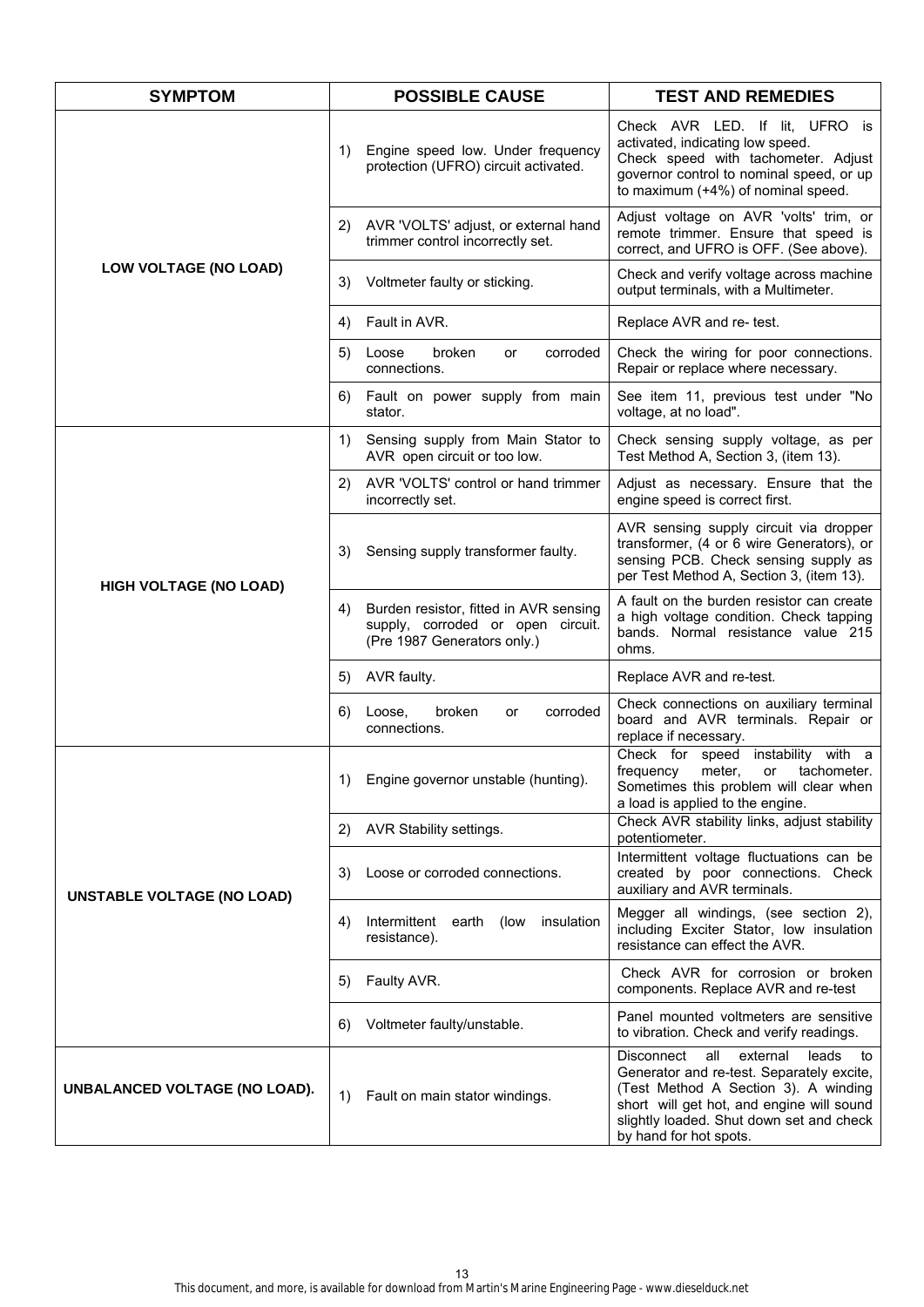| <b>SYMPTOM</b>                    | <b>POSSIBLE CAUSE</b>                                                                                            | <b>TEST AND REMEDIES</b>                                                                                                                                                                                                                             |
|-----------------------------------|------------------------------------------------------------------------------------------------------------------|------------------------------------------------------------------------------------------------------------------------------------------------------------------------------------------------------------------------------------------------------|
|                                   | Engine speed low. Under frequency<br>1)<br>protection (UFRO) circuit activated.                                  | Check AVR LED. If lit, UFRO is<br>activated, indicating low speed.<br>Check speed with tachometer. Adjust<br>governor control to nominal speed, or up<br>to maximum (+4%) of nominal speed.                                                          |
|                                   | AVR 'VOLTS' adjust, or external hand<br>2)<br>trimmer control incorrectly set.                                   | Adjust voltage on AVR 'volts' trim, or<br>remote trimmer. Ensure that speed is<br>correct, and UFRO is OFF. (See above).                                                                                                                             |
| LOW VOLTAGE (NO LOAD)             | Voltmeter faulty or sticking.<br>3)                                                                              | Check and verify voltage across machine<br>output terminals, with a Multimeter.                                                                                                                                                                      |
|                                   | Fault in AVR.<br>4)                                                                                              | Replace AVR and re- test.                                                                                                                                                                                                                            |
|                                   | broken<br>5)<br>Loose<br>corroded<br>or<br>connections.                                                          | Check the wiring for poor connections.<br>Repair or replace where necessary.                                                                                                                                                                         |
|                                   | Fault on power supply from main<br>6)<br>stator.                                                                 | See item 11, previous test under "No<br>voltage, at no load".                                                                                                                                                                                        |
|                                   | Sensing supply from Main Stator to<br>1)<br>AVR open circuit or too low.                                         | Check sensing supply voltage, as per<br>Test Method A, Section 3, (item 13).                                                                                                                                                                         |
|                                   | AVR 'VOLTS' control or hand trimmer<br>2)<br>incorrectly set.                                                    | Adjust as necessary. Ensure that the<br>engine speed is correct first.                                                                                                                                                                               |
| <b>HIGH VOLTAGE (NO LOAD)</b>     | Sensing supply transformer faulty.<br>3)                                                                         | AVR sensing supply circuit via dropper<br>transformer, (4 or 6 wire Generators), or<br>sensing PCB. Check sensing supply as<br>per Test Method A, Section 3, (item 13).                                                                              |
|                                   | Burden resistor, fitted in AVR sensing<br>4)<br>supply, corroded or open circuit.<br>(Pre 1987 Generators only.) | A fault on the burden resistor can create<br>a high voltage condition. Check tapping<br>bands. Normal resistance value 215<br>ohms.                                                                                                                  |
|                                   | AVR faulty.<br>5)                                                                                                | Replace AVR and re-test.                                                                                                                                                                                                                             |
|                                   | Loose,<br>broken<br>corroded<br>6)<br>or<br>connections.                                                         | Check connections on auxiliary terminal<br>board and AVR terminals. Repair or<br>replace if necessary.                                                                                                                                               |
|                                   | 1)<br>Engine governor unstable (hunting).                                                                        | Check for<br>speed<br>instability with a<br>frequency<br>meter,<br>or tachometer.<br>Sometimes this problem will clear when<br>a load is applied to the engine.                                                                                      |
|                                   | AVR Stability settings.<br>2)                                                                                    | Check AVR stability links, adjust stability<br>potentiometer.                                                                                                                                                                                        |
|                                   | Loose or corroded connections.<br>3)                                                                             | Intermittent voltage fluctuations can be<br>created by poor connections. Check<br>auxiliary and AVR terminals.                                                                                                                                       |
| <b>UNSTABLE VOLTAGE (NO LOAD)</b> | Intermittent earth (low insulation<br>4)<br>resistance).                                                         | Megger all windings, (see section 2),<br>including Exciter Stator, low insulation<br>resistance can effect the AVR.                                                                                                                                  |
|                                   | Faulty AVR.<br>5)                                                                                                | Check AVR for corrosion or broken<br>components. Replace AVR and re-test                                                                                                                                                                             |
|                                   | Voltmeter faulty/unstable.<br>6)                                                                                 | Panel mounted voltmeters are sensitive<br>to vibration. Check and verify readings.                                                                                                                                                                   |
| UNBALANCED VOLTAGE (NO LOAD).     | Fault on main stator windings.<br>1)                                                                             | all<br>Disconnect<br>external<br>leads<br>to<br>Generator and re-test. Separately excite,<br>(Test Method A Section 3). A winding<br>short will get hot, and engine will sound<br>slightly loaded. Shut down set and check<br>by hand for hot spots. |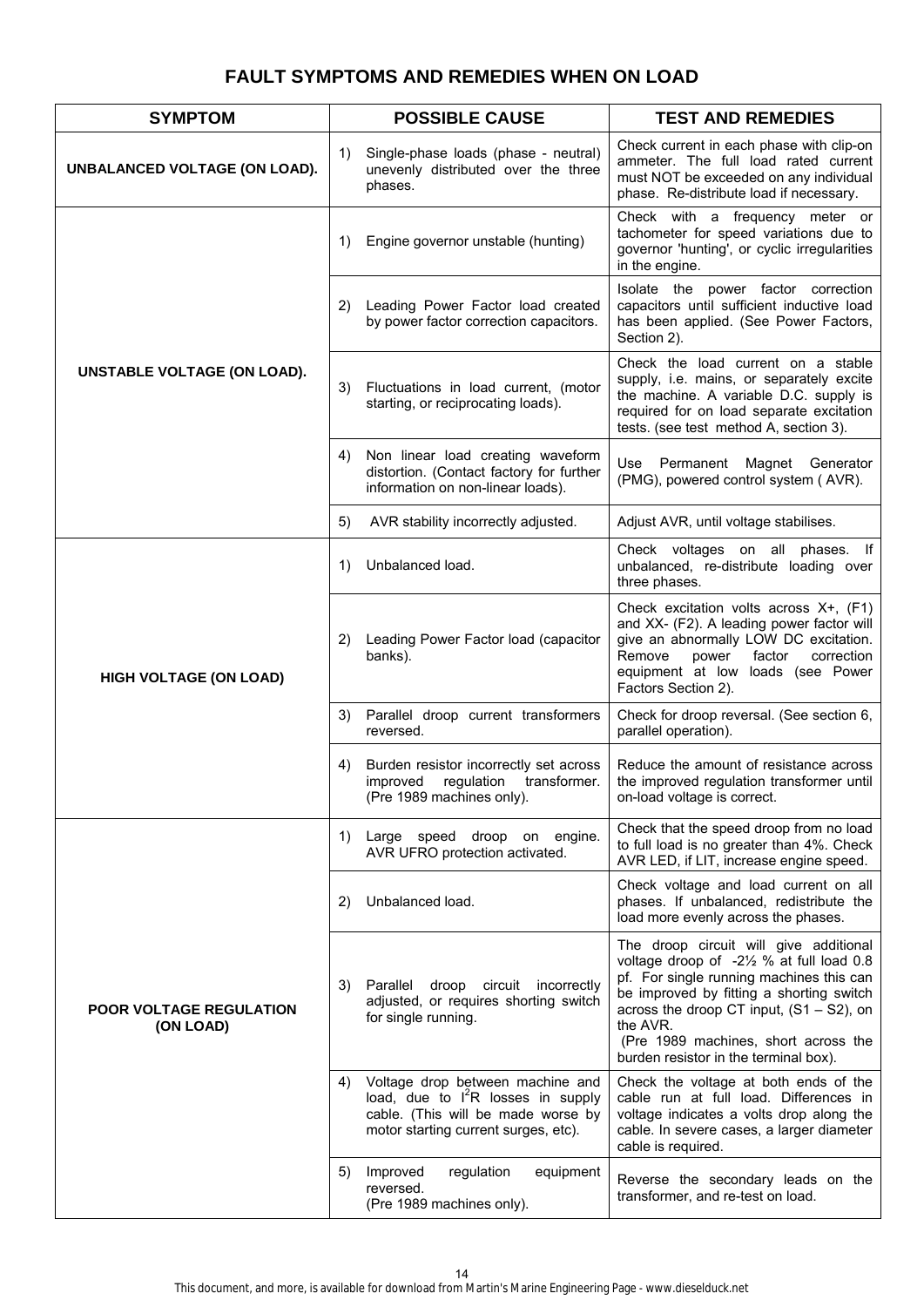# **FAULT SYMPTOMS AND REMEDIES WHEN ON LOAD**

| <b>SYMPTOM</b>                              | <b>POSSIBLE CAUSE</b>                                                                                                                                        | <b>TEST AND REMEDIES</b>                                                                                                                                                                                                                                                                                                |
|---------------------------------------------|--------------------------------------------------------------------------------------------------------------------------------------------------------------|-------------------------------------------------------------------------------------------------------------------------------------------------------------------------------------------------------------------------------------------------------------------------------------------------------------------------|
| UNBALANCED VOLTAGE (ON LOAD).               | Single-phase loads (phase - neutral)<br>1)<br>unevenly distributed over the three<br>phases.                                                                 | Check current in each phase with clip-on<br>ammeter. The full load rated current<br>must NOT be exceeded on any individual<br>phase. Re-distribute load if necessary.                                                                                                                                                   |
|                                             | Engine governor unstable (hunting)<br>1)                                                                                                                     | Check with a frequency meter or<br>tachometer for speed variations due to<br>governor 'hunting', or cyclic irregularities<br>in the engine.                                                                                                                                                                             |
|                                             | Leading Power Factor load created<br>2)<br>by power factor correction capacitors.                                                                            | Isolate the power factor correction<br>capacitors until sufficient inductive load<br>has been applied. (See Power Factors,<br>Section 2).                                                                                                                                                                               |
| <b>UNSTABLE VOLTAGE (ON LOAD).</b>          | Fluctuations in load current, (motor<br>3)<br>starting, or reciprocating loads).                                                                             | Check the load current on a stable<br>supply, i.e. mains, or separately excite<br>the machine. A variable D.C. supply is<br>required for on load separate excitation<br>tests. (see test method A, section 3).                                                                                                          |
|                                             | Non linear load creating waveform<br>4)<br>distortion. (Contact factory for further<br>information on non-linear loads).                                     | Use Permanent Magnet Generator<br>(PMG), powered control system (AVR).                                                                                                                                                                                                                                                  |
|                                             | AVR stability incorrectly adjusted.<br>5)                                                                                                                    | Adjust AVR, until voltage stabilises.                                                                                                                                                                                                                                                                                   |
|                                             | Unbalanced load.<br>1)                                                                                                                                       | Check voltages on all phases. If<br>unbalanced, re-distribute loading over<br>three phases.                                                                                                                                                                                                                             |
| <b>HIGH VOLTAGE (ON LOAD)</b>               | Leading Power Factor load (capacitor<br>2)<br>banks).                                                                                                        | Check excitation volts across X+, (F1)<br>and XX- (F2). A leading power factor will<br>give an abnormally LOW DC excitation.<br>Remove<br>power<br>factor<br>correction<br>equipment at low loads (see Power<br>Factors Section 2).                                                                                     |
|                                             | Parallel droop current transformers<br>3)<br>reversed.                                                                                                       | Check for droop reversal. (See section 6,<br>parallel operation).                                                                                                                                                                                                                                                       |
|                                             | Burden resistor incorrectly set across<br>4)<br>improved regulation<br>transformer.<br>(Pre 1989 machines only).                                             | Reduce the amount of resistance across<br>the improved regulation transformer until<br>on-load voltage is correct.                                                                                                                                                                                                      |
|                                             | Large speed droop on engine.<br>1)<br>AVR UFRO protection activated.                                                                                         | Check that the speed droop from no load<br>to full load is no greater than 4%. Check<br>AVR LED, if LIT, increase engine speed.                                                                                                                                                                                         |
| <b>POOR VOLTAGE REGULATION</b><br>(ON LOAD) | Unbalanced load.<br>2)                                                                                                                                       | Check voltage and load current on all<br>phases. If unbalanced, redistribute the<br>load more evenly across the phases.                                                                                                                                                                                                 |
|                                             | Parallel<br>droop<br>circuit incorrectly<br>3)<br>adjusted, or requires shorting switch<br>for single running.                                               | The droop circuit will give additional<br>voltage droop of -21/2 % at full load 0.8<br>pf. For single running machines this can<br>be improved by fitting a shorting switch<br>across the droop CT input, $(S1 - S2)$ , on<br>the AVR.<br>(Pre 1989 machines, short across the<br>burden resistor in the terminal box). |
|                                             | Voltage drop between machine and<br>4)<br>load, due to $I^2R$ losses in supply<br>cable. (This will be made worse by<br>motor starting current surges, etc). | Check the voltage at both ends of the<br>cable run at full load. Differences in<br>voltage indicates a volts drop along the<br>cable. In severe cases, a larger diameter<br>cable is required.                                                                                                                          |
|                                             | Improved<br>regulation<br>equipment<br>5)<br>reversed.<br>(Pre 1989 machines only).                                                                          | Reverse the secondary leads on the<br>transformer, and re-test on load.                                                                                                                                                                                                                                                 |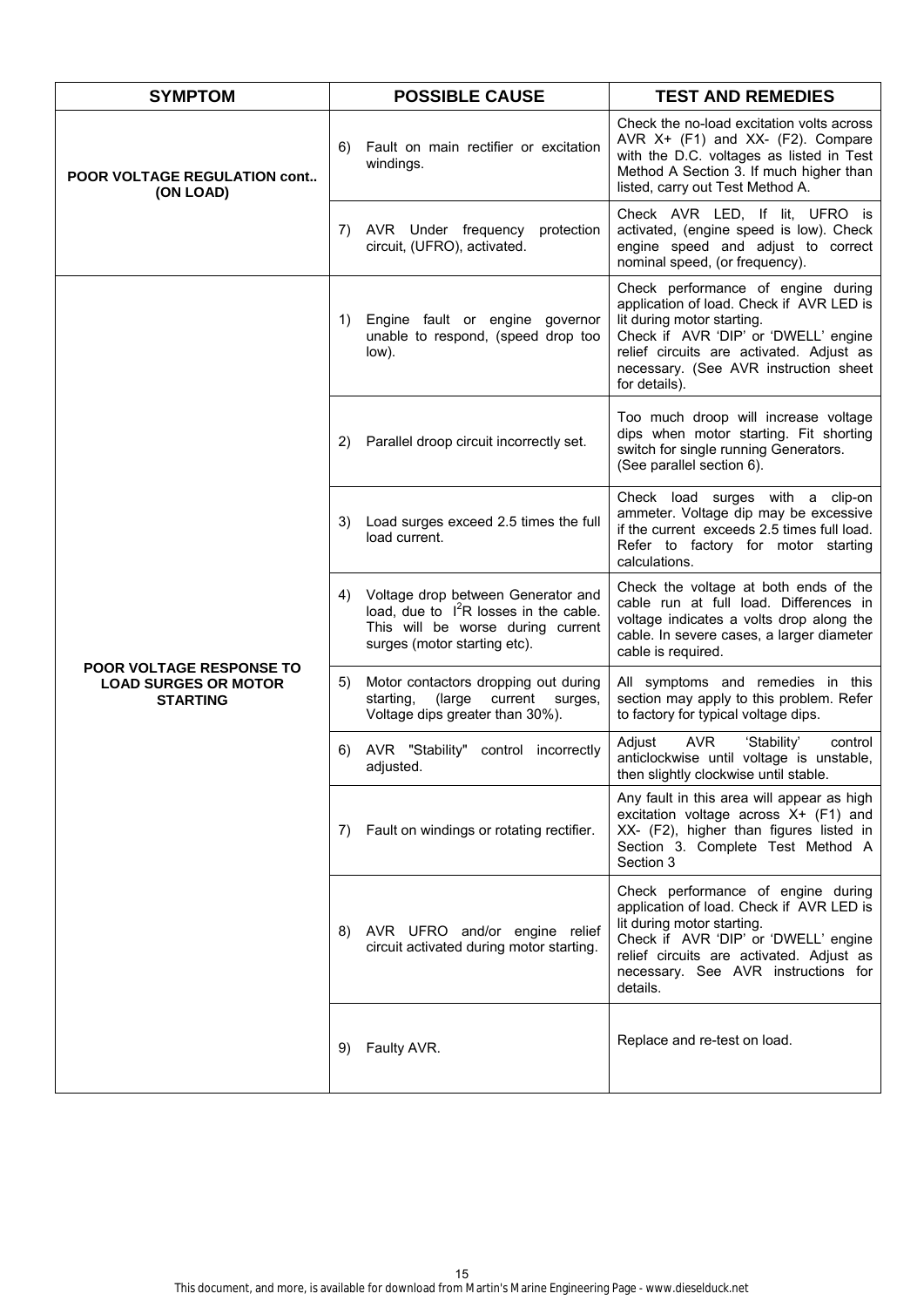| <b>SYMPTOM</b>                                                             | <b>POSSIBLE CAUSE</b>                                                                                                                                     | <b>TEST AND REMEDIES</b>                                                                                                                                                                                                                                   |
|----------------------------------------------------------------------------|-----------------------------------------------------------------------------------------------------------------------------------------------------------|------------------------------------------------------------------------------------------------------------------------------------------------------------------------------------------------------------------------------------------------------------|
| <b>POOR VOLTAGE REGULATION cont</b><br>(ON LOAD)                           | Fault on main rectifier or excitation<br>6)<br>windings.                                                                                                  | Check the no-load excitation volts across<br>AVR X+ (F1) and XX- (F2). Compare<br>with the D.C. voltages as listed in Test<br>Method A Section 3. If much higher than<br>listed, carry out Test Method A.                                                  |
|                                                                            | AVR Under frequency<br>protection<br>7)<br>circuit, (UFRO), activated.                                                                                    | Check AVR LED, If lit, UFRO is<br>activated, (engine speed is low). Check<br>engine speed and adjust to correct<br>nominal speed, (or frequency).                                                                                                          |
|                                                                            | Engine fault or engine governor<br>1)<br>unable to respond, (speed drop too<br>low).                                                                      | Check performance of engine during<br>application of load. Check if AVR LED is<br>lit during motor starting.<br>Check if AVR 'DIP' or 'DWELL' engine<br>relief circuits are activated. Adjust as<br>necessary. (See AVR instruction sheet<br>for details). |
|                                                                            | Parallel droop circuit incorrectly set.<br>2)                                                                                                             | Too much droop will increase voltage<br>dips when motor starting. Fit shorting<br>switch for single running Generators.<br>(See parallel section 6).                                                                                                       |
|                                                                            | Load surges exceed 2.5 times the full<br>3)<br>load current.                                                                                              | Check load surges with a clip-on<br>ammeter. Voltage dip may be excessive<br>if the current exceeds 2.5 times full load.<br>Refer to factory for motor starting<br>calculations.                                                                           |
|                                                                            | Voltage drop between Generator and<br>4)<br>load, due to $I^2R$ losses in the cable.<br>This will be worse during current<br>surges (motor starting etc). | Check the voltage at both ends of the<br>cable run at full load. Differences in<br>voltage indicates a volts drop along the<br>cable. In severe cases, a larger diameter<br>cable is required.                                                             |
| POOR VOLTAGE RESPONSE TO<br><b>LOAD SURGES OR MOTOR</b><br><b>STARTING</b> | Motor contactors dropping out during<br>5)<br>current<br>starting,<br>(large<br>surges,<br>Voltage dips greater than 30%).                                | All symptoms and remedies in this<br>section may apply to this problem. Refer<br>to factory for typical voltage dips.                                                                                                                                      |
|                                                                            | AVR "Stability" control incorrectly<br>6)<br>adjusted.                                                                                                    | <b>AVR</b><br>Adjust<br>'Stability'<br>control<br>anticlockwise until voltage is unstable,<br>then slightly clockwise until stable.                                                                                                                        |
|                                                                            | 7) Fault on windings or rotating rectifier.                                                                                                               | Any fault in this area will appear as high<br>excitation voltage across X+ (F1) and<br>XX- (F2), higher than figures listed in<br>Section 3. Complete Test Method A<br>Section 3                                                                           |
|                                                                            | AVR UFRO and/or engine relief<br>8)<br>circuit activated during motor starting.                                                                           | Check performance of engine during<br>application of load. Check if AVR LED is<br>lit during motor starting.<br>Check if AVR 'DIP' or 'DWELL' engine<br>relief circuits are activated. Adjust as<br>necessary. See AVR instructions for<br>details.        |
|                                                                            | 9)<br>Faulty AVR.                                                                                                                                         | Replace and re-test on load.                                                                                                                                                                                                                               |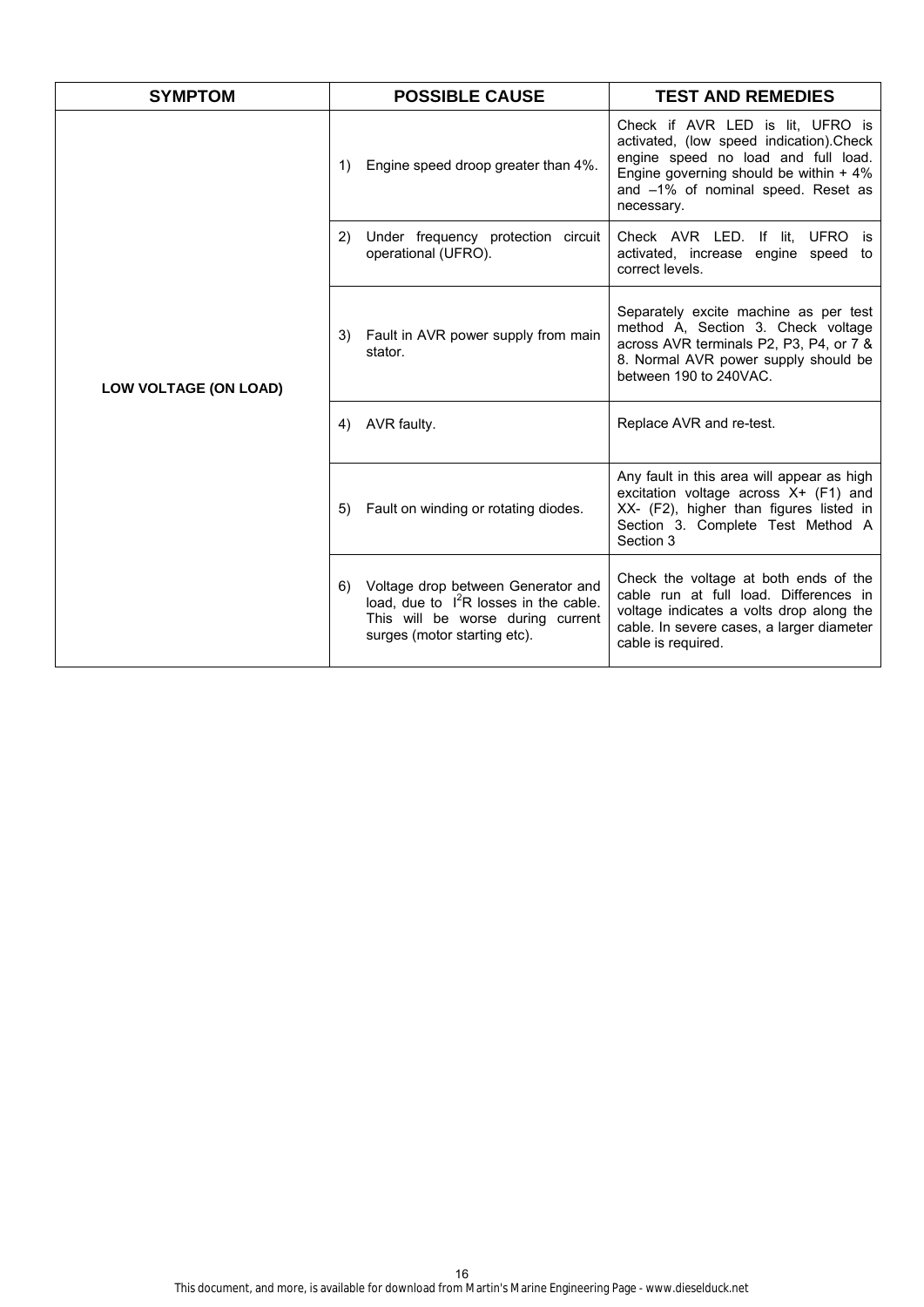| <b>SYMPTOM</b>        | <b>POSSIBLE CAUSE</b>                                                                                                                                     | <b>TEST AND REMEDIES</b>                                                                                                                                                                                           |
|-----------------------|-----------------------------------------------------------------------------------------------------------------------------------------------------------|--------------------------------------------------------------------------------------------------------------------------------------------------------------------------------------------------------------------|
|                       | Engine speed droop greater than 4%.<br>1)                                                                                                                 | Check if AVR LED is lit. UFRO is<br>activated, (low speed indication).Check<br>engine speed no load and full load.<br>Engine governing should be within $+4\%$<br>and -1% of nominal speed. Reset as<br>necessary. |
|                       | Under frequency protection circuit<br>2)<br>operational (UFRO).                                                                                           | Check AVR LED. If lit, UFRO is<br>activated, increase engine speed to<br>correct levels.                                                                                                                           |
| LOW VOLTAGE (ON LOAD) | Fault in AVR power supply from main<br>3)<br>stator.                                                                                                      | Separately excite machine as per test<br>method A, Section 3. Check voltage<br>across AVR terminals P2, P3, P4, or 7 &<br>8. Normal AVR power supply should be<br>between 190 to 240VAC.                           |
|                       | AVR faulty.<br>4)                                                                                                                                         | Replace AVR and re-test.                                                                                                                                                                                           |
|                       | Fault on winding or rotating diodes.<br>5)                                                                                                                | Any fault in this area will appear as high<br>excitation voltage across X+ (F1) and<br>XX- (F2), higher than figures listed in<br>Section 3. Complete Test Method A<br>Section 3                                   |
|                       | Voltage drop between Generator and<br>6)<br>load, due to $I^2R$ losses in the cable.<br>This will be worse during current<br>surges (motor starting etc). | Check the voltage at both ends of the<br>cable run at full load. Differences in<br>voltage indicates a volts drop along the<br>cable. In severe cases, a larger diameter<br>cable is required.                     |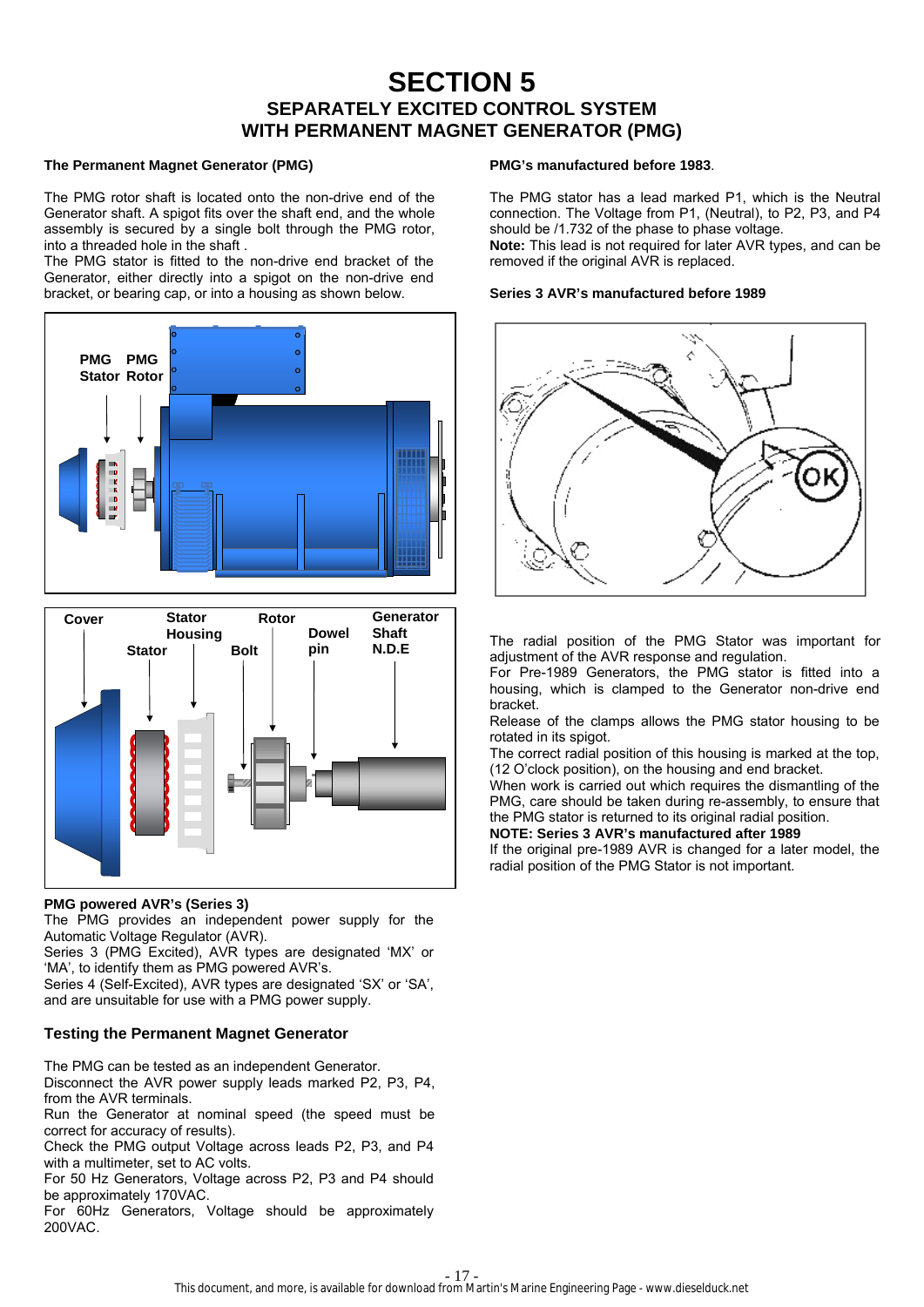# **SECTION 5 SEPARATELY EXCITED CONTROL SYSTEM WITH PERMANENT MAGNET GENERATOR (PMG)**

#### **The Permanent Magnet Generator (PMG)**

The PMG rotor shaft is located onto the non-drive end of the Generator shaft. A spigot fits over the shaft end, and the whole assembly is secured by a single bolt through the PMG rotor, into a threaded hole in the shaft .

The PMG stator is fitted to the non-drive end bracket of the Generator, either directly into a spigot on the non-drive end bracket, or bearing cap, or into a housing as shown below.





# **PMG powered AVR's (Series 3)**

The PMG provides an independent power supply for the Automatic Voltage Regulator (AVR).

Series 3 (PMG Excited), AVR types are designated 'MX' or 'MA', to identify them as PMG powered AVR's.

Series 4 (Self-Excited), AVR types are designated 'SX' or 'SA', and are unsuitable for use with a PMG power supply.

# **Testing the Permanent Magnet Generator**

The PMG can be tested as an independent Generator. Disconnect the AVR power supply leads marked P2, P3, P4, from the AVR terminals.

Run the Generator at nominal speed (the speed must be correct for accuracy of results).

Check the PMG output Voltage across leads P2, P3, and P4 with a multimeter, set to AC volts.

For 50 Hz Generators, Voltage across P2, P3 and P4 should be approximately 170VAC.

For 60Hz Generators, Voltage should be approximately 200VAC.

## **PMG's manufactured before 1983**.

The PMG stator has a lead marked P1, which is the Neutral connection. The Voltage from P1, (Neutral), to P2, P3, and P4 should be /1.732 of the phase to phase voltage. **Note:** This lead is not required for later AVR types, and can be removed if the original AVR is replaced.

### **Series 3 AVR's manufactured before 1989**



The radial position of the PMG Stator was important for adjustment of the AVR response and regulation.

For Pre-1989 Generators, the PMG stator is fitted into a housing, which is clamped to the Generator non-drive end bracket.

Release of the clamps allows the PMG stator housing to be rotated in its spigot.

The correct radial position of this housing is marked at the top, (12 O'clock position), on the housing and end bracket.

When work is carried out which requires the dismantling of the PMG, care should be taken during re-assembly, to ensure that the PMG stator is returned to its original radial position.

**NOTE: Series 3 AVR's manufactured after 1989** 

If the original pre-1989 AVR is changed for a later model, the radial position of the PMG Stator is not important.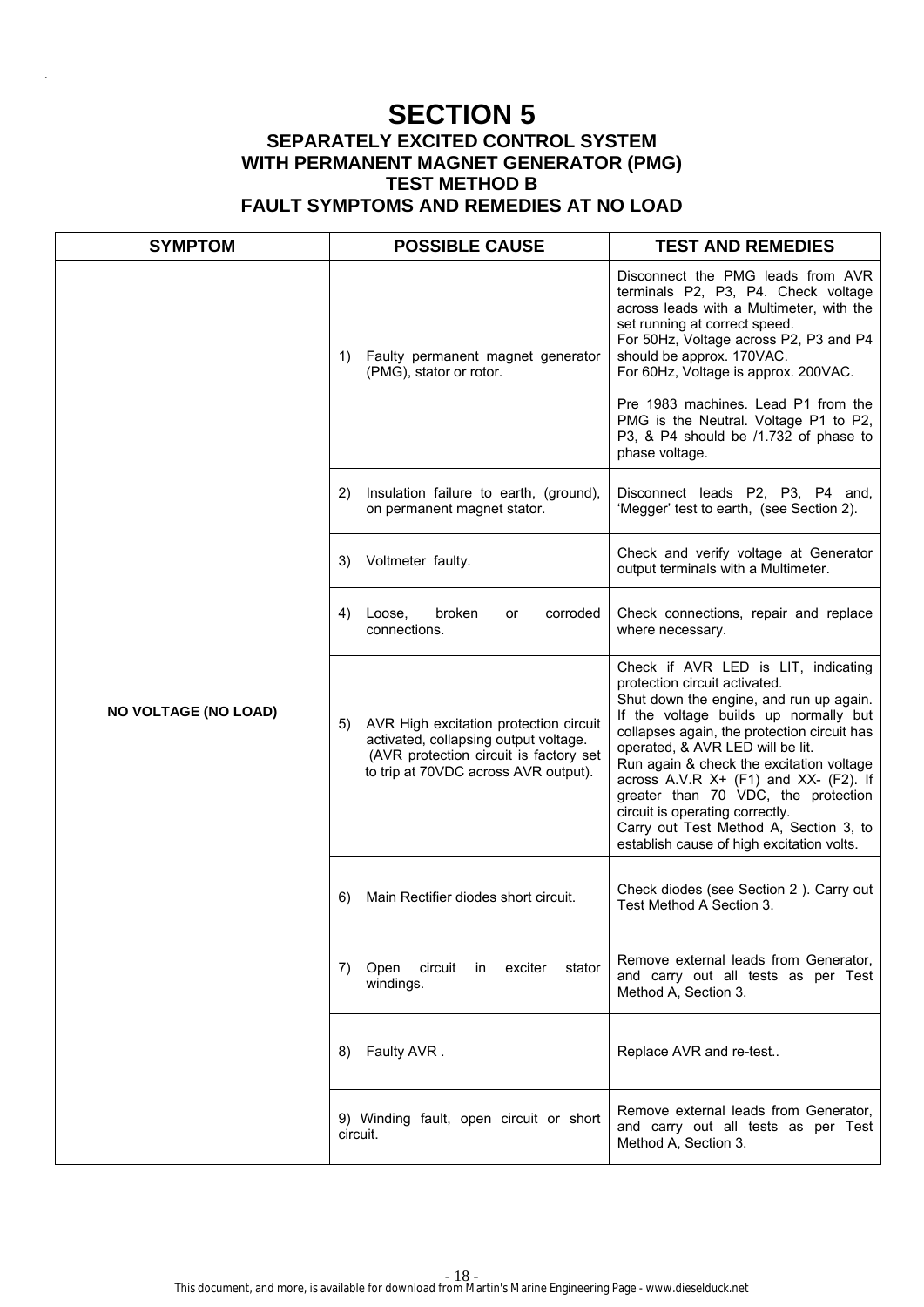# **SECTION 5 SEPARATELY EXCITED CONTROL SYSTEM WITH PERMANENT MAGNET GENERATOR (PMG) TEST METHOD B FAULT SYMPTOMS AND REMEDIES AT NO LOAD**

.

| <b>SYMPTOM</b>              | <b>POSSIBLE CAUSE</b>                                                                                                                                                   | <b>TEST AND REMEDIES</b>                                                                                                                                                                                                                                                                                                                                                                                                                                                                              |
|-----------------------------|-------------------------------------------------------------------------------------------------------------------------------------------------------------------------|-------------------------------------------------------------------------------------------------------------------------------------------------------------------------------------------------------------------------------------------------------------------------------------------------------------------------------------------------------------------------------------------------------------------------------------------------------------------------------------------------------|
|                             | Faulty permanent magnet generator<br>1)<br>(PMG), stator or rotor.                                                                                                      | Disconnect the PMG leads from AVR<br>terminals P2, P3, P4. Check voltage<br>across leads with a Multimeter, with the<br>set running at correct speed.<br>For 50Hz, Voltage across P2, P3 and P4<br>should be approx. 170VAC.<br>For 60Hz, Voltage is approx. 200VAC.<br>Pre 1983 machines. Lead P1 from the<br>PMG is the Neutral. Voltage P1 to P2,<br>P3, & P4 should be /1.732 of phase to<br>phase voltage.                                                                                       |
|                             | Insulation failure to earth, (ground),<br>2)<br>on permanent magnet stator.                                                                                             | Disconnect leads P2, P3, P4 and,<br>'Megger' test to earth, (see Section 2).                                                                                                                                                                                                                                                                                                                                                                                                                          |
|                             | Voltmeter faulty.<br>3)                                                                                                                                                 | Check and verify voltage at Generator<br>output terminals with a Multimeter.                                                                                                                                                                                                                                                                                                                                                                                                                          |
|                             | broken<br>4)<br>Loose,<br>corroded<br>or<br>connections.                                                                                                                | Check connections, repair and replace<br>where necessary.                                                                                                                                                                                                                                                                                                                                                                                                                                             |
| <b>NO VOLTAGE (NO LOAD)</b> | AVR High excitation protection circuit<br>5)<br>activated, collapsing output voltage.<br>(AVR protection circuit is factory set<br>to trip at 70VDC across AVR output). | Check if AVR LED is LIT, indicating<br>protection circuit activated.<br>Shut down the engine, and run up again.<br>If the voltage builds up normally but<br>collapses again, the protection circuit has<br>operated, & AVR LED will be lit.<br>Run again & check the excitation voltage<br>across A.V.R $X+$ (F1) and $XX-$ (F2). If<br>greater than 70 VDC, the protection<br>circuit is operating correctly.<br>Carry out Test Method A, Section 3, to<br>establish cause of high excitation volts. |
|                             | Main Rectifier diodes short circuit.<br>6)                                                                                                                              | Check diodes (see Section 2). Carry out<br>Test Method A Section 3.                                                                                                                                                                                                                                                                                                                                                                                                                                   |
|                             | Open circuit in exciter stator<br>7).<br>windings.                                                                                                                      | Remove external leads from Generator,<br>and carry out all tests as per Test<br>Method A, Section 3.                                                                                                                                                                                                                                                                                                                                                                                                  |
|                             | Faulty AVR.<br>8)                                                                                                                                                       | Replace AVR and re-test                                                                                                                                                                                                                                                                                                                                                                                                                                                                               |
|                             | 9) Winding fault, open circuit or short<br>circuit.                                                                                                                     | Remove external leads from Generator,<br>and carry out all tests as per Test<br>Method A, Section 3.                                                                                                                                                                                                                                                                                                                                                                                                  |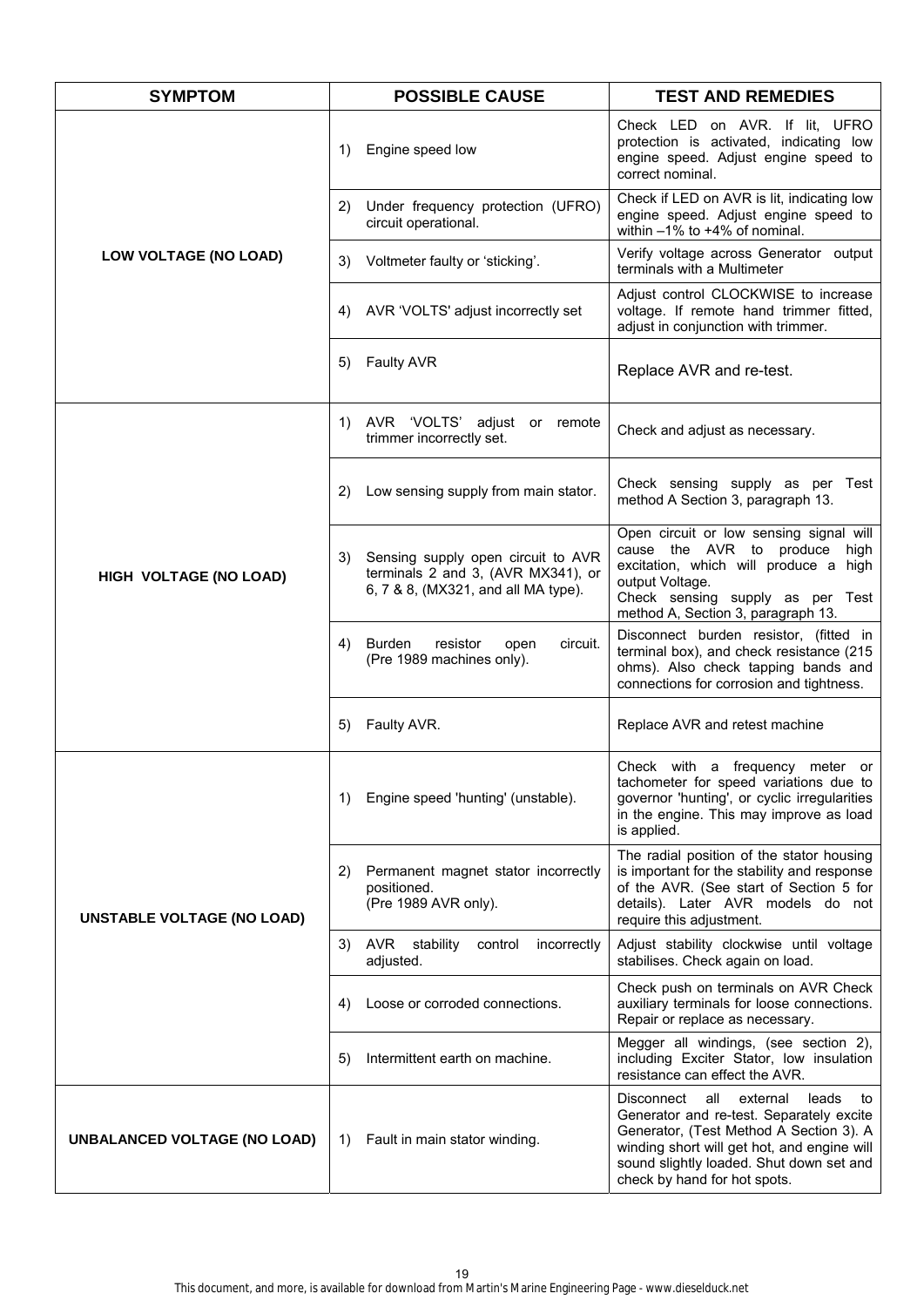| <b>SYMPTOM</b>                      | <b>POSSIBLE CAUSE</b>                                                                                                 | <b>TEST AND REMEDIES</b>                                                                                                                                                                                                                                       |
|-------------------------------------|-----------------------------------------------------------------------------------------------------------------------|----------------------------------------------------------------------------------------------------------------------------------------------------------------------------------------------------------------------------------------------------------------|
|                                     | Engine speed low<br>1)                                                                                                | Check LED on AVR. If lit, UFRO<br>protection is activated, indicating low<br>engine speed. Adjust engine speed to<br>correct nominal.                                                                                                                          |
|                                     | Under frequency protection (UFRO)<br>2)<br>circuit operational.                                                       | Check if LED on AVR is lit, indicating low<br>engine speed. Adjust engine speed to<br>within $-1\%$ to $+4\%$ of nominal.                                                                                                                                      |
| <b>LOW VOLTAGE (NO LOAD)</b>        | Voltmeter faulty or 'sticking'.<br>3)                                                                                 | Verify voltage across Generator output<br>terminals with a Multimeter                                                                                                                                                                                          |
|                                     | AVR 'VOLTS' adjust incorrectly set<br>4)                                                                              | Adjust control CLOCKWISE to increase<br>voltage. If remote hand trimmer fitted,<br>adjust in conjunction with trimmer.                                                                                                                                         |
|                                     | <b>Faulty AVR</b><br>5)                                                                                               | Replace AVR and re-test.                                                                                                                                                                                                                                       |
|                                     | AVR 'VOLTS' adjust or remote<br>1)<br>trimmer incorrectly set.                                                        | Check and adjust as necessary.                                                                                                                                                                                                                                 |
|                                     | Low sensing supply from main stator.<br>2)                                                                            | Check sensing supply as per Test<br>method A Section 3, paragraph 13.                                                                                                                                                                                          |
| HIGH VOLTAGE (NO LOAD)              | Sensing supply open circuit to AVR<br>3)<br>terminals 2 and 3, (AVR MX341), or<br>6, 7 & 8, (MX321, and all MA type). | Open circuit or low sensing signal will<br>cause the AVR to produce high<br>excitation, which will produce a high<br>output Voltage.<br>Check sensing supply as per Test<br>method A, Section 3, paragraph 13.                                                 |
|                                     | Burden<br>resistor<br>circuit.<br>4)<br>open<br>(Pre 1989 machines only).                                             | Disconnect burden resistor, (fitted in<br>terminal box), and check resistance (215<br>ohms). Also check tapping bands and<br>connections for corrosion and tightness.                                                                                          |
|                                     | Faulty AVR.<br>5)                                                                                                     | Replace AVR and retest machine                                                                                                                                                                                                                                 |
| <b>UNSTABLE VOLTAGE (NO LOAD)</b>   | Engine speed 'hunting' (unstable).<br>1)                                                                              | Check with a frequency meter or<br>tachometer for speed variations due to<br>governor 'hunting', or cyclic irregularities<br>in the engine. This may improve as load<br>is applied.                                                                            |
|                                     | Permanent magnet stator incorrectly<br>2)<br>positioned.<br>(Pre 1989 AVR only).                                      | The radial position of the stator housing<br>is important for the stability and response<br>of the AVR. (See start of Section 5 for<br>details). Later AVR models do not<br>require this adjustment.                                                           |
|                                     | AVR<br>stability<br>control<br>incorrectly<br>3)<br>adjusted.                                                         | Adjust stability clockwise until voltage<br>stabilises. Check again on load.                                                                                                                                                                                   |
|                                     | Loose or corroded connections.<br>4)                                                                                  | Check push on terminals on AVR Check<br>auxiliary terminals for loose connections.<br>Repair or replace as necessary.                                                                                                                                          |
|                                     | Intermittent earth on machine.<br>5)                                                                                  | Megger all windings, (see section 2),<br>including Exciter Stator, low insulation<br>resistance can effect the AVR.                                                                                                                                            |
| <b>UNBALANCED VOLTAGE (NO LOAD)</b> | Fault in main stator winding.<br>1)                                                                                   | Disconnect<br>all<br>external<br>leads<br>to<br>Generator and re-test. Separately excite<br>Generator, (Test Method A Section 3). A<br>winding short will get hot, and engine will<br>sound slightly loaded. Shut down set and<br>check by hand for hot spots. |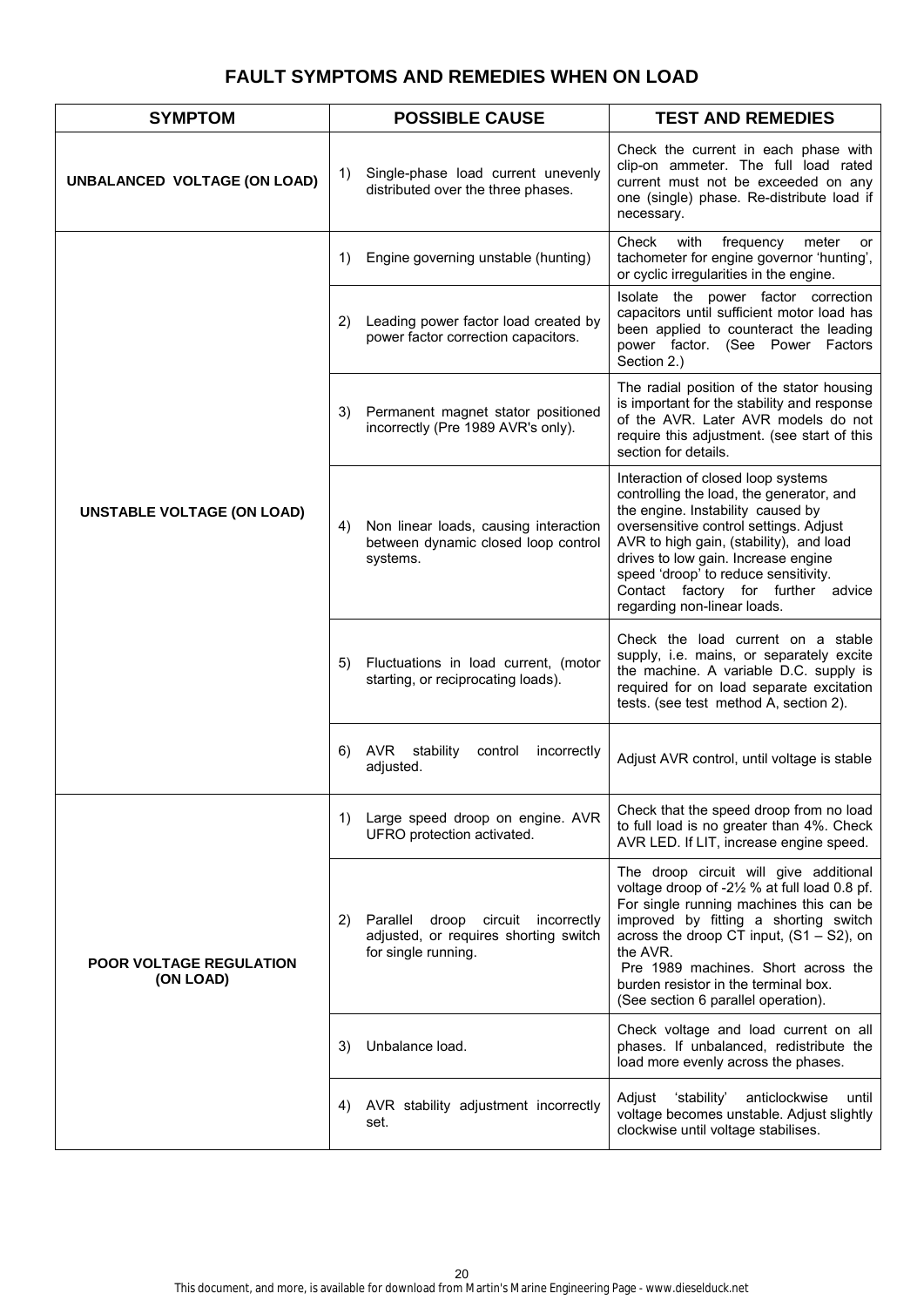# **FAULT SYMPTOMS AND REMEDIES WHEN ON LOAD**

| <b>SYMPTOM</b>                              | <b>POSSIBLE CAUSE</b>                                                                                             | <b>TEST AND REMEDIES</b>                                                                                                                                                                                                                                                                                                                                     |
|---------------------------------------------|-------------------------------------------------------------------------------------------------------------------|--------------------------------------------------------------------------------------------------------------------------------------------------------------------------------------------------------------------------------------------------------------------------------------------------------------------------------------------------------------|
| UNBALANCED VOLTAGE (ON LOAD)                | Single-phase load current unevenly<br>1)<br>distributed over the three phases.                                    | Check the current in each phase with<br>clip-on ammeter. The full load rated<br>current must not be exceeded on any<br>one (single) phase. Re-distribute load if<br>necessary.                                                                                                                                                                               |
|                                             | Engine governing unstable (hunting)<br>1)                                                                         | Check<br>with<br>frequency<br>meter<br>or<br>tachometer for engine governor 'hunting',<br>or cyclic irregularities in the engine.                                                                                                                                                                                                                            |
|                                             | Leading power factor load created by<br>2)<br>power factor correction capacitors.                                 | Isolate the power factor correction<br>capacitors until sufficient motor load has<br>been applied to counteract the leading<br>power factor. (See Power Factors<br>Section 2.)                                                                                                                                                                               |
|                                             | Permanent magnet stator positioned<br>3)<br>incorrectly (Pre 1989 AVR's only).                                    | The radial position of the stator housing<br>is important for the stability and response<br>of the AVR. Later AVR models do not<br>require this adjustment. (see start of this<br>section for details.                                                                                                                                                       |
| <b>UNSTABLE VOLTAGE (ON LOAD)</b>           | Non linear loads, causing interaction<br>4)<br>between dynamic closed loop control<br>systems.                    | Interaction of closed loop systems<br>controlling the load, the generator, and<br>the engine. Instability caused by<br>oversensitive control settings. Adjust<br>AVR to high gain, (stability), and load<br>drives to low gain. Increase engine<br>speed 'droop' to reduce sensitivity.<br>Contact factory for further advice<br>regarding non-linear loads. |
|                                             | Fluctuations in load current, (motor<br>5)<br>starting, or reciprocating loads).                                  | Check the load current on a stable<br>supply, i.e. mains, or separately excite<br>the machine. A variable D.C. supply is<br>required for on load separate excitation<br>tests. (see test method A, section 2).                                                                                                                                               |
|                                             | AVR<br>stability<br>6)<br>control<br>incorrectly<br>adjusted.                                                     | Adjust AVR control, until voltage is stable                                                                                                                                                                                                                                                                                                                  |
| <b>POOR VOLTAGE REGULATION</b><br>(ON LOAD) | Large speed droop on engine. AVR<br>1)<br>UFRO protection activated.                                              | Check that the speed droop from no load<br>to full load is no greater than 4%. Check<br>AVR LED. If LIT, increase engine speed.                                                                                                                                                                                                                              |
|                                             | Parallel<br>2)<br>droop<br>circuit<br>incorrectly<br>adjusted, or requires shorting switch<br>for single running. | The droop circuit will give additional<br>voltage droop of -21/2 % at full load 0.8 pf.<br>For single running machines this can be<br>improved by fitting a shorting switch<br>across the droop CT input, $(S1 - S2)$ , on<br>the AVR.<br>Pre 1989 machines. Short across the<br>burden resistor in the terminal box.<br>(See section 6 parallel operation). |
|                                             | Unbalance load.<br>3)                                                                                             | Check voltage and load current on all<br>phases. If unbalanced, redistribute the<br>load more evenly across the phases.                                                                                                                                                                                                                                      |
|                                             | AVR stability adjustment incorrectly<br>4)<br>set.                                                                | 'stability'<br>anticlockwise<br>Adjust<br>until<br>voltage becomes unstable. Adjust slightly<br>clockwise until voltage stabilises.                                                                                                                                                                                                                          |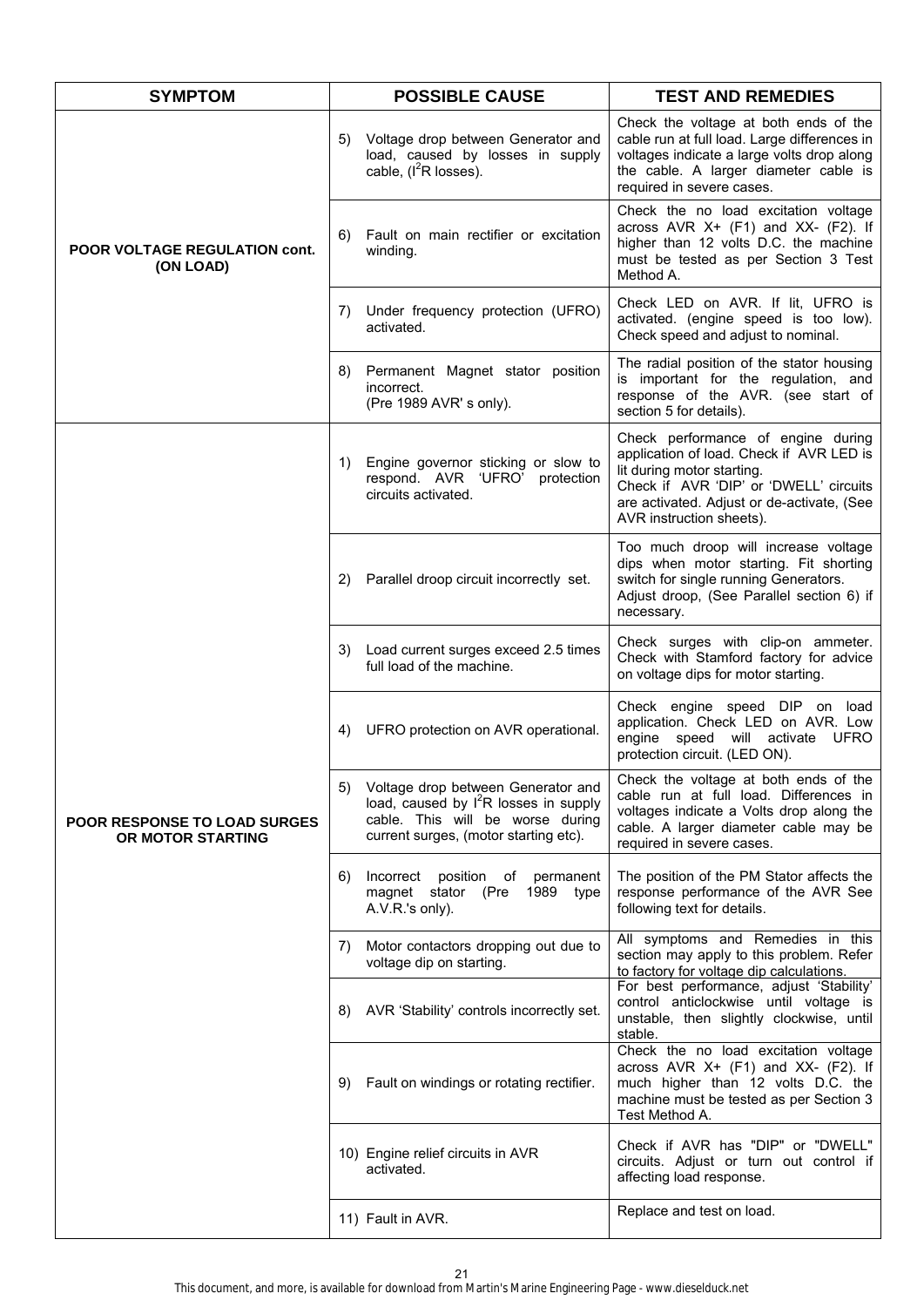| <b>SYMPTOM</b>                                           | <b>POSSIBLE CAUSE</b>                                                                                                                                                      | <b>TEST AND REMEDIES</b>                                                                                                                                                                                                         |  |
|----------------------------------------------------------|----------------------------------------------------------------------------------------------------------------------------------------------------------------------------|----------------------------------------------------------------------------------------------------------------------------------------------------------------------------------------------------------------------------------|--|
|                                                          | Voltage drop between Generator and<br>5)<br>load, caused by losses in supply<br>cable, $(I^2R \text{ losses}).$                                                            | Check the voltage at both ends of the<br>cable run at full load. Large differences in<br>voltages indicate a large volts drop along<br>the cable. A larger diameter cable is<br>required in severe cases.                        |  |
| POOR VOLTAGE REGULATION cont.<br>(ON LOAD)               | Fault on main rectifier or excitation<br>6)<br>winding.                                                                                                                    | Check the no load excitation voltage<br>across AVR X+ (F1) and XX- (F2). If<br>higher than 12 volts D.C. the machine<br>must be tested as per Section 3 Test<br>Method A.                                                        |  |
|                                                          | Under frequency protection (UFRO)<br>7)<br>activated.                                                                                                                      | Check LED on AVR. If lit, UFRO is<br>activated. (engine speed is too low).<br>Check speed and adjust to nominal.                                                                                                                 |  |
|                                                          | Permanent Magnet stator position<br>8)<br>incorrect.<br>(Pre 1989 AVR's only).                                                                                             | The radial position of the stator housing<br>is important for the regulation, and<br>response of the AVR. (see start of<br>section 5 for details).                                                                               |  |
|                                                          | Engine governor sticking or slow to<br>1)<br>respond. AVR 'UFRO'<br>protection<br>circuits activated.                                                                      | Check performance of engine during<br>application of load. Check if AVR LED is<br>lit during motor starting.<br>Check if AVR 'DIP' or 'DWELL' circuits<br>are activated. Adjust or de-activate, (See<br>AVR instruction sheets). |  |
|                                                          | Parallel droop circuit incorrectly set.<br>2)                                                                                                                              | Too much droop will increase voltage<br>dips when motor starting. Fit shorting<br>switch for single running Generators.<br>Adjust droop, (See Parallel section 6) if<br>necessary.                                               |  |
|                                                          | Load current surges exceed 2.5 times<br>3)<br>full load of the machine.                                                                                                    | Check surges with clip-on ammeter.<br>Check with Stamford factory for advice<br>on voltage dips for motor starting.                                                                                                              |  |
|                                                          | UFRO protection on AVR operational.<br>4)                                                                                                                                  | Check engine speed DIP on load<br>application. Check LED on AVR. Low<br>engine speed will activate UFRO<br>protection circuit. (LED ON).                                                                                         |  |
| <b>POOR RESPONSE TO LOAD SURGES</b><br>OR MOTOR STARTING | Voltage drop between Generator and<br>5)<br>load, caused by I <sup>2</sup> R losses in supply<br>cable. This will be worse during<br>current surges, (motor starting etc). | Check the voltage at both ends of the<br>cable run at full load. Differences in<br>voltages indicate a Volts drop along the<br>cable. A larger diameter cable may be<br>required in severe cases.                                |  |
|                                                          | Incorrect<br>position<br>of permanent<br>6)<br>magnet stator (Pre 1989 type<br>A.V.R.'s only).                                                                             | The position of the PM Stator affects the<br>response performance of the AVR See<br>following text for details.                                                                                                                  |  |
|                                                          | Motor contactors dropping out due to<br>7)<br>voltage dip on starting.                                                                                                     | All symptoms and Remedies in this<br>section may apply to this problem. Refer<br>to factory for voltage dip calculations.                                                                                                        |  |
|                                                          | AVR 'Stability' controls incorrectly set.<br>8)                                                                                                                            | For best performance, adjust 'Stability'<br>control anticlockwise until voltage is<br>unstable, then slightly clockwise, until<br>stable.                                                                                        |  |
|                                                          | Fault on windings or rotating rectifier.<br>9)                                                                                                                             | Check the no load excitation voltage<br>across AVR $X+$ (F1) and $XX-$ (F2). If<br>much higher than 12 volts D.C. the<br>machine must be tested as per Section 3<br>Test Method A.                                               |  |
|                                                          | 10) Engine relief circuits in AVR<br>activated.                                                                                                                            | Check if AVR has "DIP" or "DWELL"<br>circuits. Adjust or turn out control if<br>affecting load response.                                                                                                                         |  |
|                                                          | 11) Fault in AVR.                                                                                                                                                          | Replace and test on load.                                                                                                                                                                                                        |  |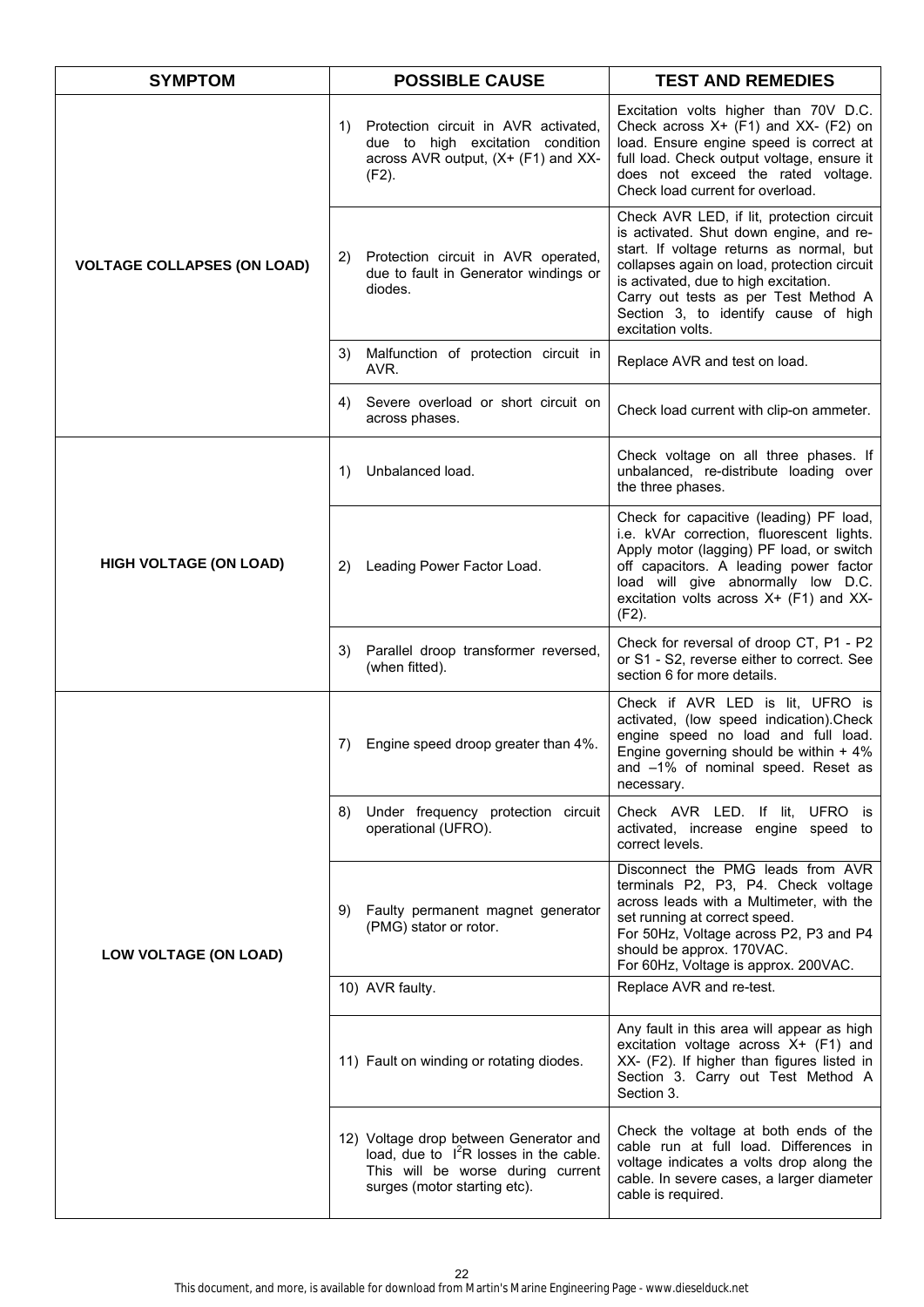| <b>SYMPTOM</b>                     | <b>POSSIBLE CAUSE</b>                                                                                                                                   | <b>TEST AND REMEDIES</b>                                                                                                                                                                                                                                                                                                      |  |
|------------------------------------|---------------------------------------------------------------------------------------------------------------------------------------------------------|-------------------------------------------------------------------------------------------------------------------------------------------------------------------------------------------------------------------------------------------------------------------------------------------------------------------------------|--|
|                                    | Protection circuit in AVR activated,<br>1)<br>due to high excitation condition<br>across AVR output, (X+ (F1) and XX-<br>$(F2)$ .                       | Excitation volts higher than 70V D.C.<br>Check across $X+$ (F1) and $XX-$ (F2) on<br>load. Ensure engine speed is correct at<br>full load. Check output voltage, ensure it<br>does not exceed the rated voltage.<br>Check load current for overload.                                                                          |  |
| <b>VOLTAGE COLLAPSES (ON LOAD)</b> | Protection circuit in AVR operated,<br>2)<br>due to fault in Generator windings or<br>diodes.                                                           | Check AVR LED, if lit, protection circuit<br>is activated. Shut down engine, and re-<br>start. If voltage returns as normal, but<br>collapses again on load, protection circuit<br>is activated, due to high excitation.<br>Carry out tests as per Test Method A<br>Section 3, to identify cause of high<br>excitation volts. |  |
|                                    | Malfunction of protection circuit in<br>3)<br>AVR.                                                                                                      | Replace AVR and test on load.                                                                                                                                                                                                                                                                                                 |  |
|                                    | Severe overload or short circuit on<br>4)<br>across phases.                                                                                             | Check load current with clip-on ammeter.                                                                                                                                                                                                                                                                                      |  |
|                                    | Unbalanced load.<br>1)                                                                                                                                  | Check voltage on all three phases. If<br>unbalanced, re-distribute loading over<br>the three phases.                                                                                                                                                                                                                          |  |
| <b>HIGH VOLTAGE (ON LOAD)</b>      | Leading Power Factor Load.<br>2)                                                                                                                        | Check for capacitive (leading) PF load,<br>i.e. kVAr correction, fluorescent lights.<br>Apply motor (lagging) PF load, or switch<br>off capacitors. A leading power factor<br>load will give abnormally low D.C.<br>excitation volts across X+ (F1) and XX-<br>$(F2)$ .                                                       |  |
|                                    | Parallel droop transformer reversed,<br>3)<br>(when fitted).                                                                                            | Check for reversal of droop CT, P1 - P2<br>or S1 - S2, reverse either to correct. See<br>section 6 for more details.                                                                                                                                                                                                          |  |
|                                    | Engine speed droop greater than 4%.<br>7)                                                                                                               | Check if AVR LED is lit, UFRO is<br>activated, (low speed indication).Check<br>engine speed no load and full load.<br>Engine governing should be within + 4%<br>and -1% of nominal speed. Reset as<br>necessary.                                                                                                              |  |
|                                    | Under frequency protection circuit<br>8)<br>operational (UFRO).                                                                                         | Check AVR LED. If lit, UFRO is<br>activated, increase engine speed to<br>correct levels.                                                                                                                                                                                                                                      |  |
| LOW VOLTAGE (ON LOAD)              | Faulty permanent magnet generator<br>9)<br>(PMG) stator or rotor.                                                                                       | Disconnect the PMG leads from AVR<br>terminals P2, P3, P4. Check voltage<br>across leads with a Multimeter, with the<br>set running at correct speed.<br>For 50Hz, Voltage across P2, P3 and P4<br>should be approx. 170VAC.<br>For 60Hz, Voltage is approx. 200VAC.                                                          |  |
|                                    | 10) AVR faulty.                                                                                                                                         | Replace AVR and re-test.                                                                                                                                                                                                                                                                                                      |  |
|                                    | 11) Fault on winding or rotating diodes.                                                                                                                | Any fault in this area will appear as high<br>excitation voltage across X+ (F1) and<br>XX- (F2). If higher than figures listed in<br>Section 3. Carry out Test Method A<br>Section 3.                                                                                                                                         |  |
|                                    | 12) Voltage drop between Generator and<br>load, due to $I^2R$ losses in the cable.<br>This will be worse during current<br>surges (motor starting etc). | Check the voltage at both ends of the<br>cable run at full load. Differences in<br>voltage indicates a volts drop along the<br>cable. In severe cases, a larger diameter<br>cable is required.                                                                                                                                |  |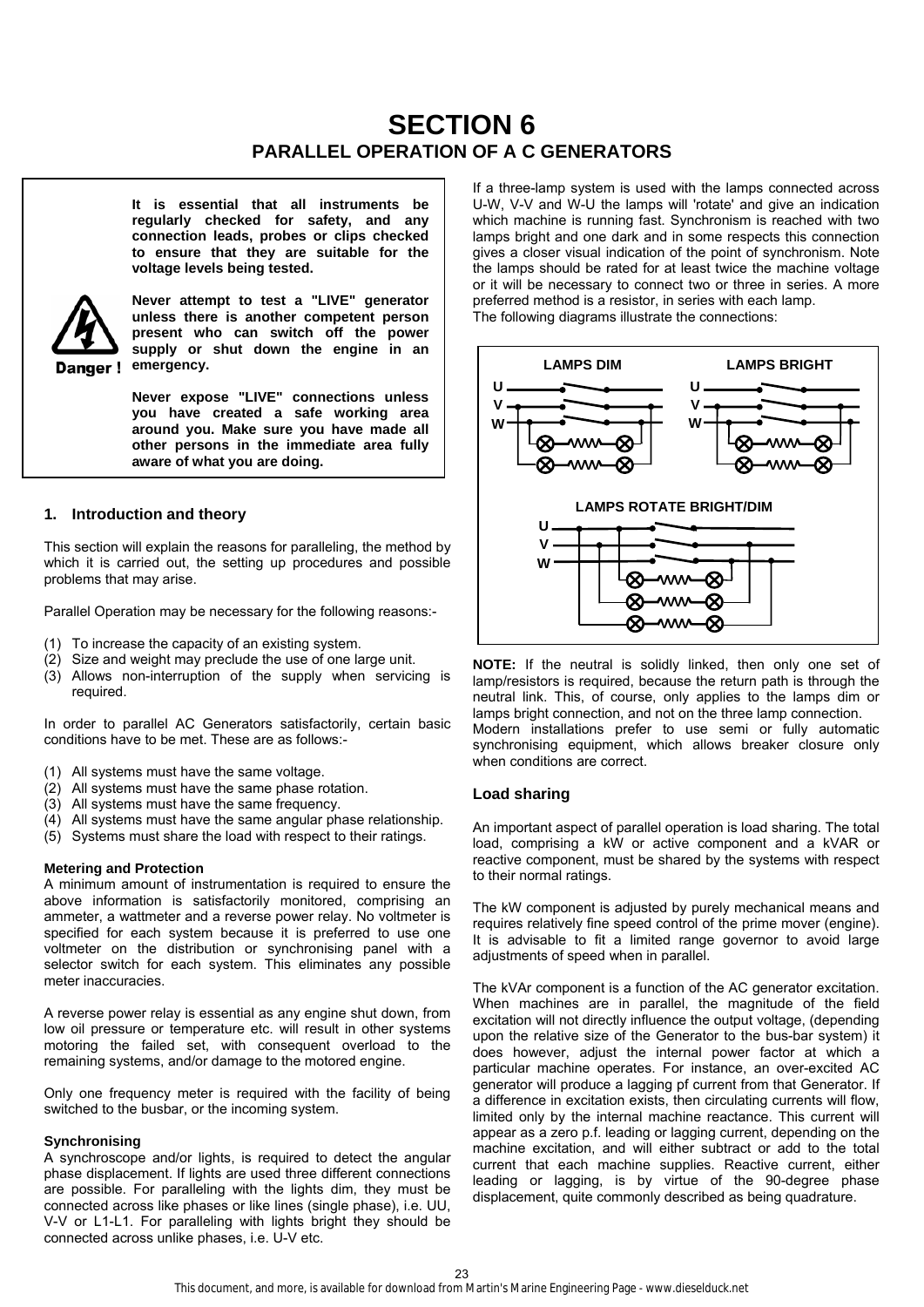# **SECTION 6 PARALLEL OPERATION OF A C GENERATORS**

**It is essential that all instruments be regularly checked for safety, and any connection leads, probes or clips checked to ensure that they are suitable for the voltage levels being tested.** 



**Never attempt to test a "LIVE" generator unless there is another competent person present who can switch off the power supply or shut down the engine in an emergency.** 

**Never expose "LIVE" connections unless you have created a safe working area around you. Make sure you have made all other persons in the immediate area fully aware of what you are doing.**

# **1. Introduction and theory**

This section will explain the reasons for paralleling, the method by which it is carried out, the setting up procedures and possible problems that may arise.

Parallel Operation may be necessary for the following reasons:-

- (1) To increase the capacity of an existing system.
- (2) Size and weight may preclude the use of one large unit.
- (3) Allows non-interruption of the supply when servicing is required.

In order to parallel AC Generators satisfactorily, certain basic conditions have to be met. These are as follows:-

- (1) All systems must have the same voltage.
- (2) All systems must have the same phase rotation.
- (3) All systems must have the same frequency.
- (4) All systems must have the same angular phase relationship.
- (5) Systems must share the load with respect to their ratings.

#### **Metering and Protection**

A minimum amount of instrumentation is required to ensure the above information is satisfactorily monitored, comprising an ammeter, a wattmeter and a reverse power relay. No voltmeter is specified for each system because it is preferred to use one voltmeter on the distribution or synchronising panel with a selector switch for each system. This eliminates any possible meter inaccuracies.

A reverse power relay is essential as any engine shut down, from low oil pressure or temperature etc. will result in other systems motoring the failed set, with consequent overload to the remaining systems, and/or damage to the motored engine.

Only one frequency meter is required with the facility of being switched to the busbar, or the incoming system.

#### **Synchronising**

A synchroscope and/or lights, is required to detect the angular phase displacement. If lights are used three different connections are possible. For paralleling with the lights dim, they must be connected across like phases or like lines (single phase), i.e. UU, V-V or L1-L1. For paralleling with lights bright they should be connected across unlike phases, i.e. U-V etc.

If a three-lamp system is used with the lamps connected across U-W, V-V and W-U the lamps will 'rotate' and give an indication which machine is running fast. Synchronism is reached with two lamps bright and one dark and in some respects this connection gives a closer visual indication of the point of synchronism. Note the lamps should be rated for at least twice the machine voltage or it will be necessary to connect two or three in series. A more preferred method is a resistor, in series with each lamp. The following diagrams illustrate the connections:



**NOTE:** If the neutral is solidly linked, then only one set of lamp/resistors is required, because the return path is through the neutral link. This, of course, only applies to the lamps dim or lamps bright connection, and not on the three lamp connection. Modern installations prefer to use semi or fully automatic synchronising equipment, which allows breaker closure only when conditions are correct.

# **Load sharing**

An important aspect of parallel operation is load sharing. The total load, comprising a kW or active component and a kVAR or reactive component, must be shared by the systems with respect to their normal ratings.

The kW component is adjusted by purely mechanical means and requires relatively fine speed control of the prime mover (engine). It is advisable to fit a limited range governor to avoid large adjustments of speed when in parallel.

The kVAr component is a function of the AC generator excitation. When machines are in parallel, the magnitude of the field excitation will not directly influence the output voltage, (depending upon the relative size of the Generator to the bus-bar system) it does however, adjust the internal power factor at which a particular machine operates. For instance, an over-excited AC generator will produce a lagging pf current from that Generator. If a difference in excitation exists, then circulating currents will flow, limited only by the internal machine reactance. This current will appear as a zero p.f. leading or lagging current, depending on the machine excitation, and will either subtract or add to the total current that each machine supplies. Reactive current, either leading or lagging, is by virtue of the 90-degree phase displacement, quite commonly described as being quadrature.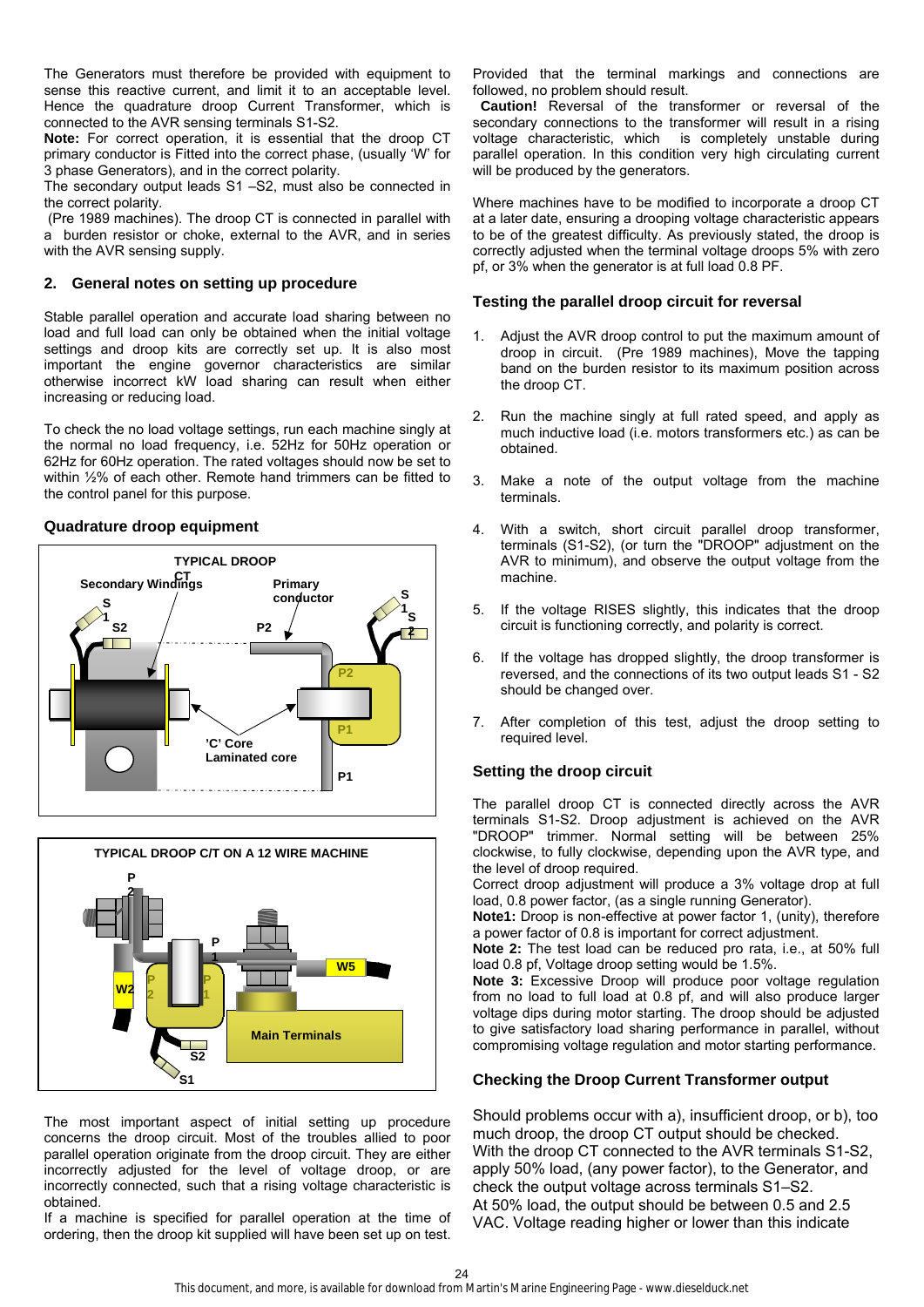The Generators must therefore be provided with equipment to sense this reactive current, and limit it to an acceptable level. Hence the quadrature droop Current Transformer, which is connected to the AVR sensing terminals S1-S2.

**Note:** For correct operation, it is essential that the droop CT primary conductor is Fitted into the correct phase, (usually 'W' for 3 phase Generators), and in the correct polarity.

The secondary output leads S1 –S2, must also be connected in the correct polarity.

 (Pre 1989 machines). The droop CT is connected in parallel with a burden resistor or choke, external to the AVR, and in series with the AVR sensing supply.

# **2. General notes on setting up procedure**

Stable parallel operation and accurate load sharing between no load and full load can only be obtained when the initial voltage settings and droop kits are correctly set up. It is also most important the engine governor characteristics are similar otherwise incorrect kW load sharing can result when either increasing or reducing load.

To check the no load voltage settings, run each machine singly at the normal no load frequency, i.e. 52Hz for 50Hz operation or 62Hz for 60Hz operation. The rated voltages should now be set to within ½% of each other. Remote hand trimmers can be fitted to the control panel for this purpose.

# **Quadrature droop equipment**





The most important aspect of initial setting up procedure concerns the droop circuit. Most of the troubles allied to poor parallel operation originate from the droop circuit. They are either incorrectly adjusted for the level of voltage droop, or are incorrectly connected, such that a rising voltage characteristic is obtained.

If a machine is specified for parallel operation at the time of ordering, then the droop kit supplied will have been set up on test.

Provided that the terminal markings and connections are followed, no problem should result.

 **Caution!** Reversal of the transformer or reversal of the secondary connections to the transformer will result in a rising voltage characteristic, which is completely unstable during parallel operation. In this condition very high circulating current will be produced by the generators.

Where machines have to be modified to incorporate a droop CT at a later date, ensuring a drooping voltage characteristic appears to be of the greatest difficulty. As previously stated, the droop is correctly adjusted when the terminal voltage droops 5% with zero pf, or 3% when the generator is at full load 0.8 PF.

### **Testing the parallel droop circuit for reversal**

- 1. Adjust the AVR droop control to put the maximum amount of droop in circuit. (Pre 1989 machines), Move the tapping band on the burden resistor to its maximum position across the droop CT.
- 2. Run the machine singly at full rated speed, and apply as much inductive load (i.e. motors transformers etc.) as can be obtained.
- 3. Make a note of the output voltage from the machine terminals.
- 4. With a switch, short circuit parallel droop transformer, terminals (S1-S2), (or turn the "DROOP" adjustment on the AVR to minimum), and observe the output voltage from the machine.
- 5. If the voltage RISES slightly, this indicates that the droop circuit is functioning correctly, and polarity is correct.
- 6. If the voltage has dropped slightly, the droop transformer is reversed, and the connections of its two output leads S1 - S2 should be changed over.
- After completion of this test, adjust the droop setting to required level.

# **Setting the droop circuit**

The parallel droop CT is connected directly across the AVR terminals S1-S2. Droop adjustment is achieved on the AVR "DROOP" trimmer. Normal setting will be between 25% clockwise, to fully clockwise, depending upon the AVR type, and the level of droop required.

Correct droop adjustment will produce a 3% voltage drop at full load, 0.8 power factor, (as a single running Generator).

**Note1:** Droop is non-effective at power factor 1, (unity), therefore a power factor of 0.8 is important for correct adjustment.

**Note 2:** The test load can be reduced pro rata, i.e., at 50% full load 0.8 pf, Voltage droop setting would be 1.5%.

**Note 3:** Excessive Droop will produce poor voltage regulation from no load to full load at 0.8 pf, and will also produce larger voltage dips during motor starting. The droop should be adjusted to give satisfactory load sharing performance in parallel, without compromising voltage regulation and motor starting performance.

# **Checking the Droop Current Transformer output**

Should problems occur with a), insufficient droop, or b), too much droop, the droop CT output should be checked. With the droop CT connected to the AVR terminals S1-S2, apply 50% load, (any power factor), to the Generator, and check the output voltage across terminals S1–S2. At 50% load, the output should be between 0.5 and 2.5 VAC. Voltage reading higher or lower than this indicate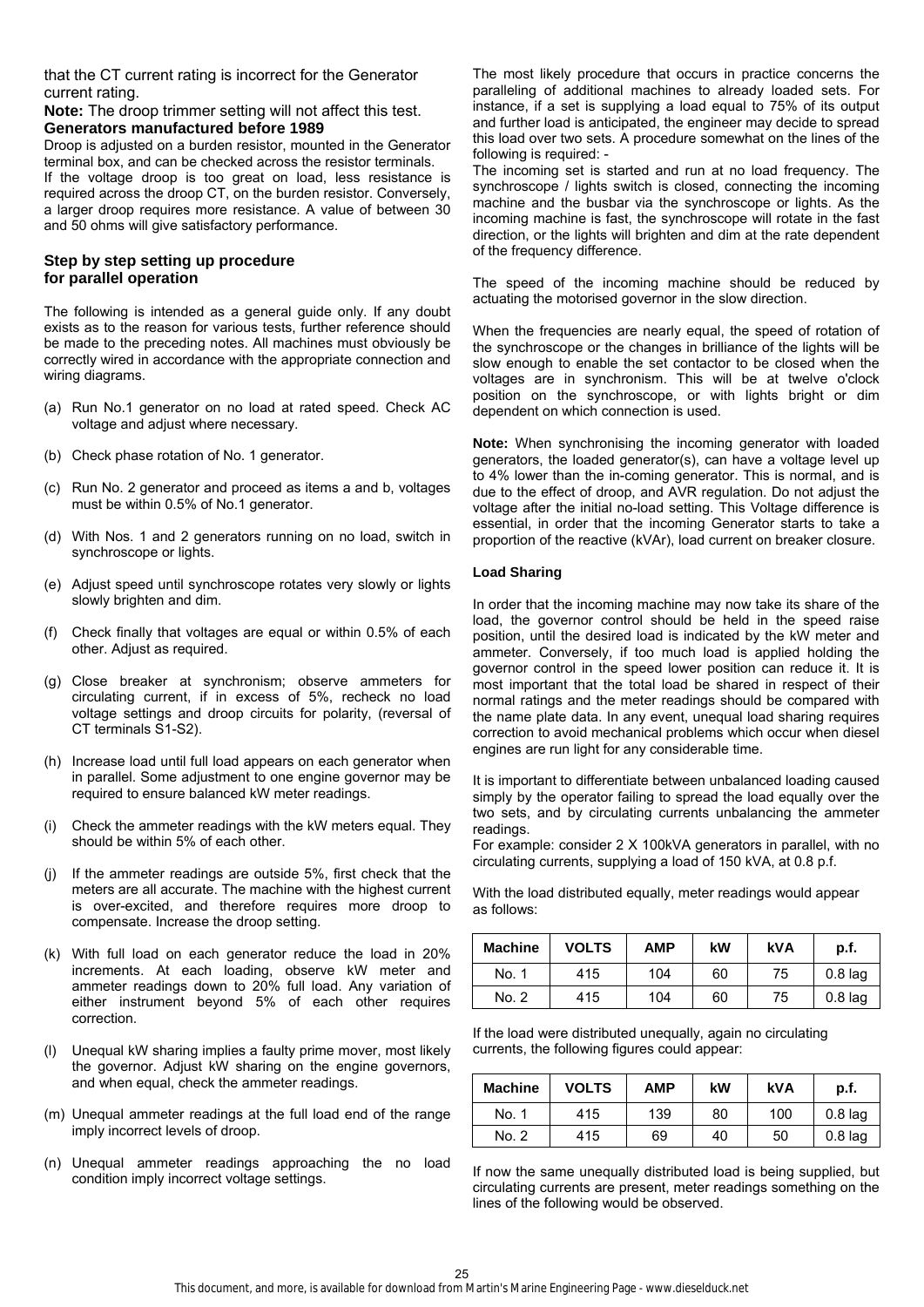that the CT current rating is incorrect for the Generator current rating.

#### **Note:** The droop trimmer setting will not affect this test. **Generators manufactured before 1989**

Droop is adjusted on a burden resistor, mounted in the Generator terminal box, and can be checked across the resistor terminals. If the voltage droop is too great on load, less resistance is required across the droop CT, on the burden resistor. Conversely, a larger droop requires more resistance. A value of between 30 and 50 ohms will give satisfactory performance.

# **Step by step setting up procedure for parallel operation**

The following is intended as a general guide only. If any doubt exists as to the reason for various tests, further reference should be made to the preceding notes. All machines must obviously be correctly wired in accordance with the appropriate connection and wiring diagrams.

- (a) Run No.1 generator on no load at rated speed. Check AC voltage and adjust where necessary.
- (b) Check phase rotation of No. 1 generator.
- (c) Run No. 2 generator and proceed as items a and b, voltages must be within 0.5% of No.1 generator.
- (d) With Nos. 1 and 2 generators running on no load, switch in synchroscope or lights.
- (e) Adjust speed until synchroscope rotates very slowly or lights slowly brighten and dim.
- (f) Check finally that voltages are equal or within 0.5% of each other. Adjust as required.
- (g) Close breaker at synchronism; observe ammeters for circulating current, if in excess of 5%, recheck no load voltage settings and droop circuits for polarity, (reversal of CT terminals S1-S2).
- (h) Increase load until full load appears on each generator when in parallel. Some adjustment to one engine governor may be required to ensure balanced kW meter readings.
- (i) Check the ammeter readings with the kW meters equal. They should be within 5% of each other.
- (j) If the ammeter readings are outside 5%, first check that the meters are all accurate. The machine with the highest current is over-excited, and therefore requires more droop to compensate. Increase the droop setting.
- (k) With full load on each generator reduce the load in 20% increments. At each loading, observe kW meter and ammeter readings down to 20% full load. Any variation of either instrument beyond 5% of each other requires correction.
- (l) Unequal kW sharing implies a faulty prime mover, most likely the governor. Adjust kW sharing on the engine governors, and when equal, check the ammeter readings.
- (m) Unequal ammeter readings at the full load end of the range imply incorrect levels of droop.
- (n) Unequal ammeter readings approaching the no load condition imply incorrect voltage settings.

The most likely procedure that occurs in practice concerns the paralleling of additional machines to already loaded sets. For instance, if a set is supplying a load equal to 75% of its output and further load is anticipated, the engineer may decide to spread this load over two sets. A procedure somewhat on the lines of the following is required: -

The incoming set is started and run at no load frequency. The synchroscope / lights switch is closed, connecting the incoming machine and the busbar via the synchroscope or lights. As the incoming machine is fast, the synchroscope will rotate in the fast direction, or the lights will brighten and dim at the rate dependent of the frequency difference.

The speed of the incoming machine should be reduced by actuating the motorised governor in the slow direction.

When the frequencies are nearly equal, the speed of rotation of the synchroscope or the changes in brilliance of the lights will be slow enough to enable the set contactor to be closed when the voltages are in synchronism. This will be at twelve o'clock position on the synchroscope, or with lights bright or dim dependent on which connection is used.

**Note:** When synchronising the incoming generator with loaded generators, the loaded generator(s), can have a voltage level up to 4% lower than the in-coming generator. This is normal, and is due to the effect of droop, and AVR regulation. Do not adjust the voltage after the initial no-load setting. This Voltage difference is essential, in order that the incoming Generator starts to take a proportion of the reactive (kVAr), load current on breaker closure.

#### **Load Sharing**

In order that the incoming machine may now take its share of the load, the governor control should be held in the speed raise position, until the desired load is indicated by the kW meter and ammeter. Conversely, if too much load is applied holding the governor control in the speed lower position can reduce it. It is most important that the total load be shared in respect of their normal ratings and the meter readings should be compared with the name plate data. In any event, unequal load sharing requires correction to avoid mechanical problems which occur when diesel engines are run light for any considerable time.

It is important to differentiate between unbalanced loading caused simply by the operator failing to spread the load equally over the two sets, and by circulating currents unbalancing the ammeter readings.

For example: consider 2 X 100kVA generators in parallel, with no circulating currents, supplying a load of 150 kVA, at 0.8 p.f.

With the load distributed equally, meter readings would appear as follows:

| <b>Machine</b> | <b>VOLTS</b> | <b>AMP</b> | kW | kVA | p.f.      |
|----------------|--------------|------------|----|-----|-----------|
| No. 1          | 415          | 104        | 60 | 75  | $0.8$ lag |
| No. 2          | 415          | 104        | 60 | 75  | $0.8$ lag |

If the load were distributed unequally, again no circulating currents, the following figures could appear:

| <b>Machine</b> | <b>VOLTS</b> | AMP | kW | <b>kVA</b> | p.f.      |
|----------------|--------------|-----|----|------------|-----------|
| No. 1          | 415          | 139 | 80 | 100        | $0.8$ lag |
| No. 2          | 415          | 69  | 40 | 50         | $0.8$ lag |

If now the same unequally distributed load is being supplied, but circulating currents are present, meter readings something on the lines of the following would be observed.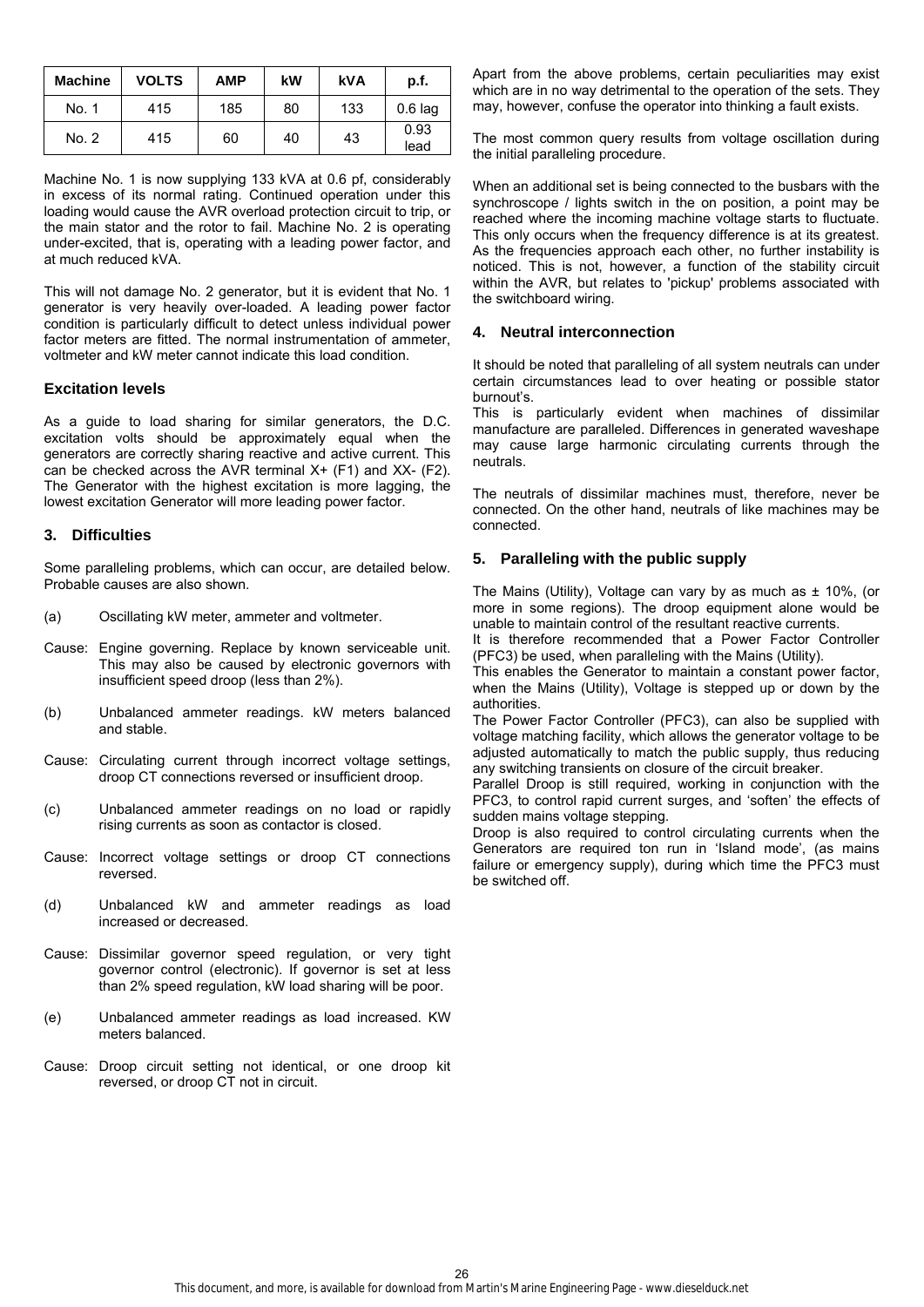| <b>Machine</b> | <b>VOLTS</b> | <b>AMP</b> | kW | kVA | p.f.         |
|----------------|--------------|------------|----|-----|--------------|
| No. 1          | 415          | 185        | 80 | 133 | $0.6$ lag    |
| No. 2          | 415          | 60         | 40 | 43  | 0.93<br>lead |

Machine No. 1 is now supplying 133 kVA at 0.6 pf, considerably in excess of its normal rating. Continued operation under this loading would cause the AVR overload protection circuit to trip, or the main stator and the rotor to fail. Machine No. 2 is operating under-excited, that is, operating with a leading power factor, and at much reduced kVA.

This will not damage No. 2 generator, but it is evident that No. 1 generator is very heavily over-loaded. A leading power factor condition is particularly difficult to detect unless individual power factor meters are fitted. The normal instrumentation of ammeter, voltmeter and kW meter cannot indicate this load condition.

#### **Excitation levels**

As a guide to load sharing for similar generators, the D.C. excitation volts should be approximately equal when the generators are correctly sharing reactive and active current. This can be checked across the AVR terminal  $X+$  (F1) and  $XX-$  (F2). The Generator with the highest excitation is more lagging, the lowest excitation Generator will more leading power factor.

### **3. Difficulties**

Some paralleling problems, which can occur, are detailed below. Probable causes are also shown.

- (a) Oscillating kW meter, ammeter and voltmeter.
- Cause: Engine governing. Replace by known serviceable unit. This may also be caused by electronic governors with insufficient speed droop (less than 2%).
- (b) Unbalanced ammeter readings. kW meters balanced and stable.
- Cause: Circulating current through incorrect voltage settings, droop CT connections reversed or insufficient droop.
- (c) Unbalanced ammeter readings on no load or rapidly rising currents as soon as contactor is closed.
- Cause: Incorrect voltage settings or droop CT connections reversed.
- (d) Unbalanced kW and ammeter readings as load increased or decreased.
- Cause: Dissimilar governor speed regulation, or very tight governor control (electronic). If governor is set at less than 2% speed regulation, kW load sharing will be poor.
- (e) Unbalanced ammeter readings as load increased. KW meters balanced.
- Cause: Droop circuit setting not identical, or one droop kit reversed, or droop CT not in circuit.

Apart from the above problems, certain peculiarities may exist which are in no way detrimental to the operation of the sets. They may, however, confuse the operator into thinking a fault exists.

The most common query results from voltage oscillation during the initial paralleling procedure.

When an additional set is being connected to the busbars with the synchroscope / lights switch in the on position, a point may be reached where the incoming machine voltage starts to fluctuate. This only occurs when the frequency difference is at its greatest. As the frequencies approach each other, no further instability is noticed. This is not, however, a function of the stability circuit within the AVR, but relates to 'pickup' problems associated with the switchboard wiring.

### **4. Neutral interconnection**

It should be noted that paralleling of all system neutrals can under certain circumstances lead to over heating or possible stator burnout's.

This is particularly evident when machines of dissimilar manufacture are paralleled. Differences in generated waveshape may cause large harmonic circulating currents through the neutrals.

The neutrals of dissimilar machines must, therefore, never be connected. On the other hand, neutrals of like machines may be connected.

# **5. Paralleling with the public supply**

The Mains (Utility), Voltage can vary by as much as  $\pm$  10%, (or more in some regions). The droop equipment alone would be unable to maintain control of the resultant reactive currents.

It is therefore recommended that a Power Factor Controller (PFC3) be used, when paralleling with the Mains (Utility).

This enables the Generator to maintain a constant power factor, when the Mains (Utility), Voltage is stepped up or down by the authorities.

The Power Factor Controller (PFC3), can also be supplied with voltage matching facility, which allows the generator voltage to be adjusted automatically to match the public supply, thus reducing any switching transients on closure of the circuit breaker.

Parallel Droop is still required, working in conjunction with the PFC3, to control rapid current surges, and 'soften' the effects of sudden mains voltage stepping.

Droop is also required to control circulating currents when the Generators are required ton run in 'Island mode', (as mains failure or emergency supply), during which time the PFC3 must be switched off.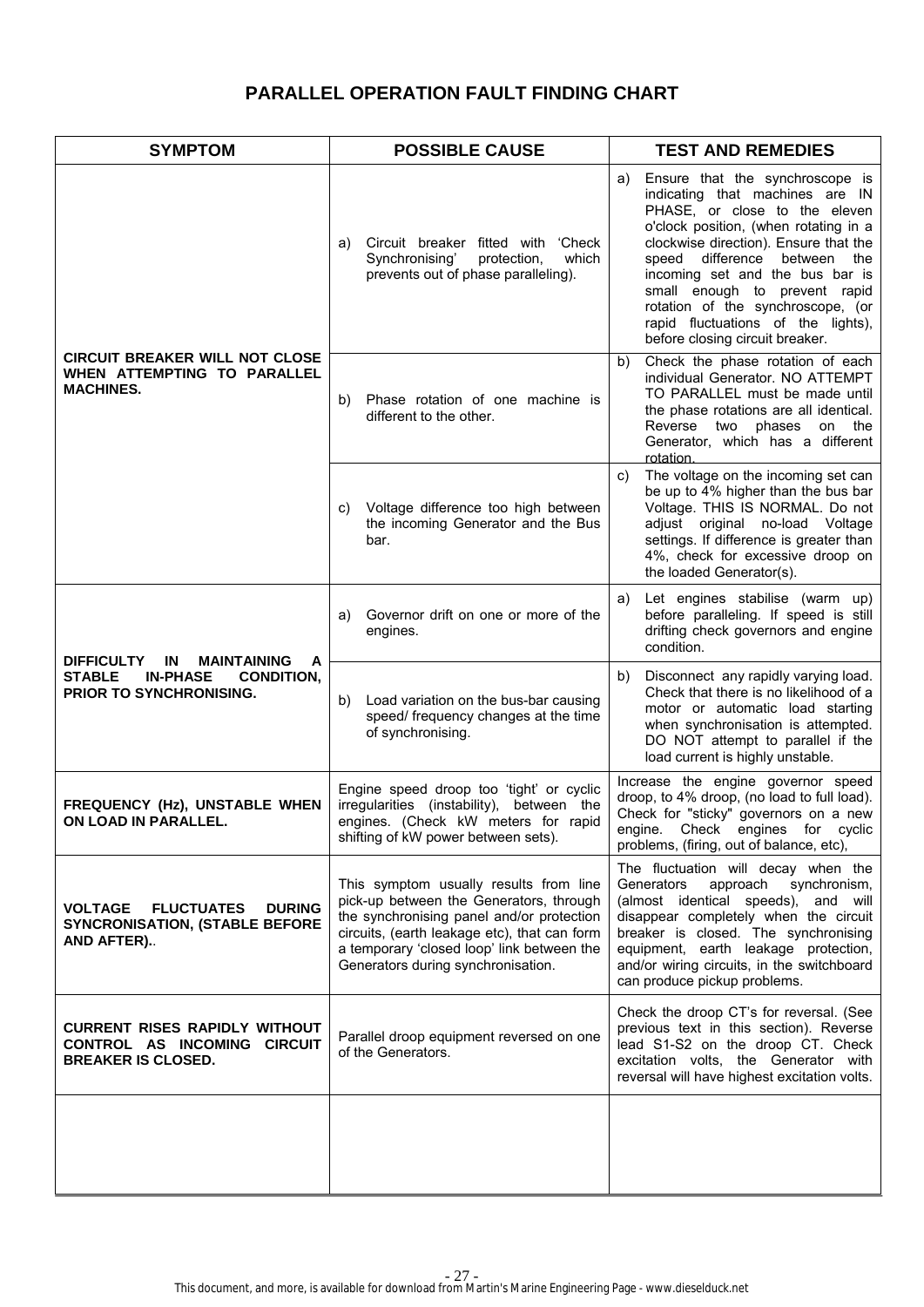# **PARALLEL OPERATION FAULT FINDING CHART**

| <b>SYMPTOM</b>                                                                                                                                                                                                                                                                                                                                                                    | <b>POSSIBLE CAUSE</b>                                                                                                                                               | <b>TEST AND REMEDIES</b>                                                                                                                                                                                                                                                                                                                                                                                            |  |
|-----------------------------------------------------------------------------------------------------------------------------------------------------------------------------------------------------------------------------------------------------------------------------------------------------------------------------------------------------------------------------------|---------------------------------------------------------------------------------------------------------------------------------------------------------------------|---------------------------------------------------------------------------------------------------------------------------------------------------------------------------------------------------------------------------------------------------------------------------------------------------------------------------------------------------------------------------------------------------------------------|--|
|                                                                                                                                                                                                                                                                                                                                                                                   | Circuit breaker fitted with 'Check<br>a)<br>Synchronising'<br>protection,<br>which<br>prevents out of phase paralleling).                                           | Ensure that the synchroscope is<br>a)<br>indicating that machines are IN<br>PHASE, or close to the eleven<br>o'clock position, (when rotating in a<br>clockwise direction). Ensure that the<br>speed<br>difference<br>between the<br>incoming set and the bus bar is<br>small enough to prevent rapid<br>rotation of the synchroscope, (or<br>rapid fluctuations of the lights),<br>before closing circuit breaker. |  |
| <b>CIRCUIT BREAKER WILL NOT CLOSE</b><br>WHEN ATTEMPTING TO PARALLEL<br><b>MACHINES.</b>                                                                                                                                                                                                                                                                                          | Phase rotation of one machine is<br>b)<br>different to the other.                                                                                                   | Check the phase rotation of each<br>b)<br>individual Generator, NO ATTEMPT<br>TO PARALLEL must be made until<br>the phase rotations are all identical.<br>Reverse<br>two phases<br>on<br>the<br>Generator, which has a different<br>rotation.                                                                                                                                                                       |  |
|                                                                                                                                                                                                                                                                                                                                                                                   | Voltage difference too high between<br>C)<br>the incoming Generator and the Bus<br>bar.                                                                             | The voltage on the incoming set can<br>C)<br>be up to 4% higher than the bus bar<br>Voltage. THIS IS NORMAL. Do not<br>adjust original no-load Voltage<br>settings. If difference is greater than<br>4%, check for excessive droop on<br>the loaded Generator(s).                                                                                                                                                   |  |
| <b>DIFFICULTY</b><br>IN<br><b>MAINTAINING</b><br>A<br><b>STABLE</b><br><b>IN-PHASE</b><br><b>CONDITION.</b><br>PRIOR TO SYNCHRONISING.                                                                                                                                                                                                                                            | Governor drift on one or more of the<br>a)<br>engines.                                                                                                              | Let engines stabilise (warm up)<br>a)<br>before paralleling. If speed is still<br>drifting check governors and engine<br>condition.                                                                                                                                                                                                                                                                                 |  |
|                                                                                                                                                                                                                                                                                                                                                                                   | Load variation on the bus-bar causing<br>b)<br>speed/ frequency changes at the time<br>of synchronising.                                                            | Disconnect any rapidly varying load.<br>b)<br>Check that there is no likelihood of a<br>motor or automatic load starting<br>when synchronisation is attempted.<br>DO NOT attempt to parallel if the<br>load current is highly unstable.                                                                                                                                                                             |  |
| FREQUENCY (Hz), UNSTABLE WHEN<br>ON LOAD IN PARALLEL.                                                                                                                                                                                                                                                                                                                             | Engine speed droop too 'tight' or cyclic<br>irregularities (instability), between the<br>engines. (Check kW meters for rapid<br>shifting of kW power between sets). | Increase the engine governor speed<br>droop, to 4% droop, (no load to full load).<br>Check for "sticky" governors on a new<br>engine. Check engines for cyclic<br>problems, (firing, out of balance, etc),                                                                                                                                                                                                          |  |
| This symptom usually results from line<br>pick-up between the Generators, through<br><b>FLUCTUATES</b><br><b>VOLTAGE</b><br><b>DURING</b><br>the synchronising panel and/or protection<br><b>SYNCRONISATION, (STABLE BEFORE</b><br>circuits, (earth leakage etc), that can form<br>AND AFTER)<br>a temporary 'closed loop' link between the<br>Generators during synchronisation. |                                                                                                                                                                     | The fluctuation will decay when the<br>Generators<br>approach<br>synchronism,<br>(almost identical speeds), and will<br>disappear completely when the circuit<br>breaker is closed. The synchronising<br>equipment, earth leakage protection,<br>and/or wiring circuits, in the switchboard<br>can produce pickup problems.                                                                                         |  |
| <b>CURRENT RISES RAPIDLY WITHOUT</b><br>CONTROL AS INCOMING CIRCUIT<br><b>BREAKER IS CLOSED.</b>                                                                                                                                                                                                                                                                                  | Parallel droop equipment reversed on one<br>of the Generators.                                                                                                      | Check the droop CT's for reversal. (See<br>previous text in this section). Reverse<br>lead S1-S2 on the droop CT. Check<br>excitation volts, the Generator with<br>reversal will have highest excitation volts.                                                                                                                                                                                                     |  |
|                                                                                                                                                                                                                                                                                                                                                                                   |                                                                                                                                                                     |                                                                                                                                                                                                                                                                                                                                                                                                                     |  |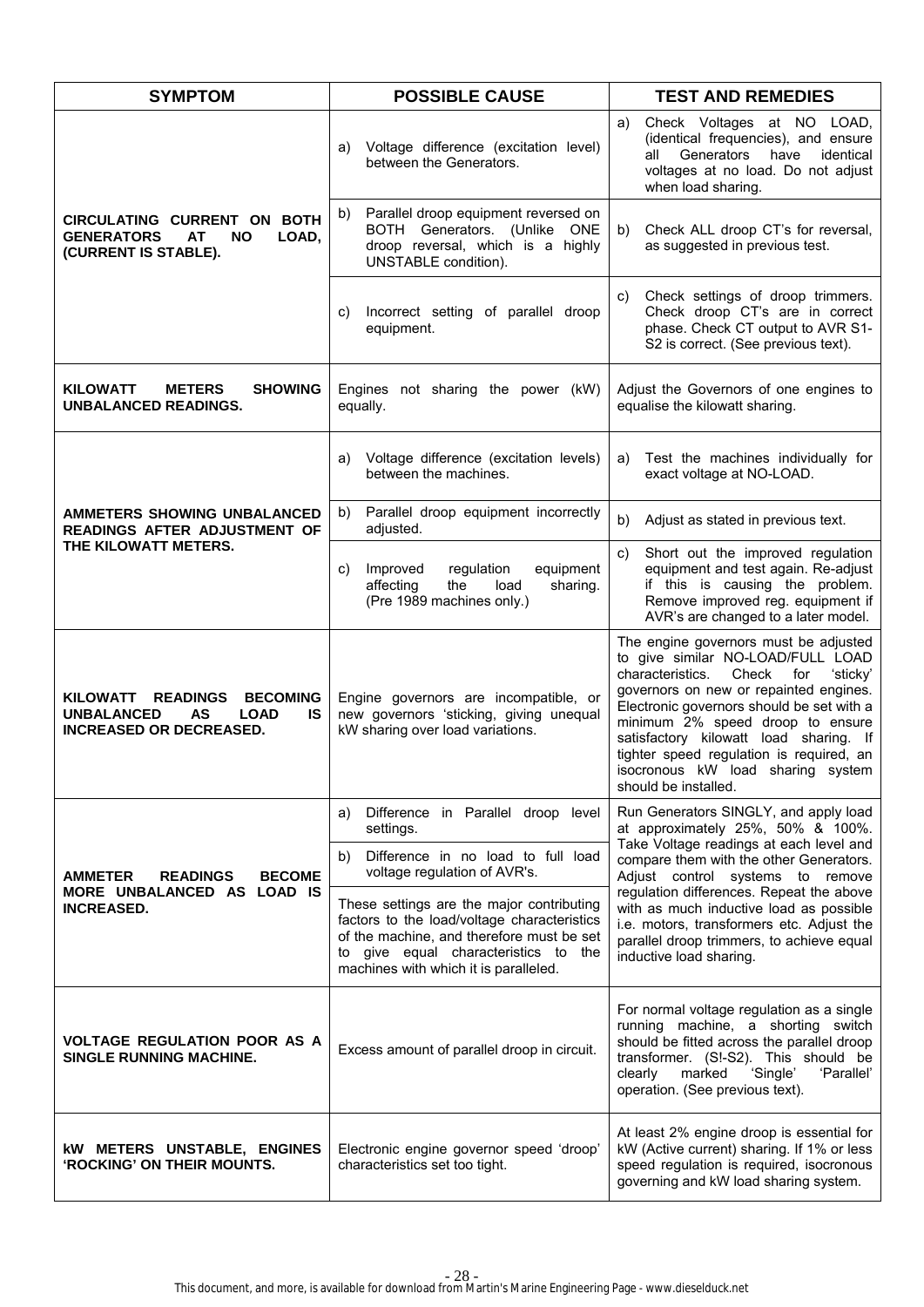| <b>SYMPTOM</b>                                                                                                                | <b>POSSIBLE CAUSE</b>                                                                                                                                                                                                  | <b>TEST AND REMEDIES</b>                                                                                                                                                                                                                                                                                                                                                                                 |
|-------------------------------------------------------------------------------------------------------------------------------|------------------------------------------------------------------------------------------------------------------------------------------------------------------------------------------------------------------------|----------------------------------------------------------------------------------------------------------------------------------------------------------------------------------------------------------------------------------------------------------------------------------------------------------------------------------------------------------------------------------------------------------|
|                                                                                                                               | Voltage difference (excitation level)<br>a)<br>between the Generators.                                                                                                                                                 | Check Voltages at NO LOAD,<br>a)<br>(identical frequencies), and ensure<br>Generators<br>have<br>identical<br>all<br>voltages at no load. Do not adjust<br>when load sharing.                                                                                                                                                                                                                            |
| <b>CIRCULATING CURRENT ON BOTH</b><br><b>GENERATORS</b><br><b>AT</b><br><b>NO</b><br>LOAD,<br>(CURRENT IS STABLE).            | Parallel droop equipment reversed on<br>b)<br>BOTH Generators. (Unlike ONE<br>droop reversal, which is a highly<br>UNSTABLE condition).                                                                                | Check ALL droop CT's for reversal,<br>b)<br>as suggested in previous test.                                                                                                                                                                                                                                                                                                                               |
|                                                                                                                               | Incorrect setting of parallel droop<br>C)<br>equipment.                                                                                                                                                                | Check settings of droop trimmers.<br>C)<br>Check droop CT's are in correct<br>phase. Check CT output to AVR S1-<br>S2 is correct. (See previous text).                                                                                                                                                                                                                                                   |
| <b>KILOWATT</b><br><b>METERS</b><br><b>SHOWING</b><br><b>UNBALANCED READINGS.</b>                                             | Engines not sharing the power (kW)<br>equally.                                                                                                                                                                         | Adjust the Governors of one engines to<br>equalise the kilowatt sharing.                                                                                                                                                                                                                                                                                                                                 |
|                                                                                                                               | Voltage difference (excitation levels)<br>a)<br>between the machines.                                                                                                                                                  | Test the machines individually for<br>a)<br>exact voltage at NO-LOAD.                                                                                                                                                                                                                                                                                                                                    |
| <b>AMMETERS SHOWING UNBALANCED</b><br>READINGS AFTER ADJUSTMENT OF                                                            | Parallel droop equipment incorrectly<br>b)<br>adjusted.                                                                                                                                                                | Adjust as stated in previous text.<br>b)                                                                                                                                                                                                                                                                                                                                                                 |
| THE KILOWATT METERS.                                                                                                          | Improved<br>equipment<br>regulation<br>C)<br>affecting<br>the<br>load<br>sharing.<br>(Pre 1989 machines only.)                                                                                                         | Short out the improved regulation<br>C)<br>equipment and test again. Re-adjust<br>if this is causing the problem.<br>Remove improved reg. equipment if<br>AVR's are changed to a later model.                                                                                                                                                                                                            |
| KILOWATT READINGS<br><b>BECOMING</b><br><b>UNBALANCED</b><br><b>IS</b><br>AS<br><b>LOAD</b><br><b>INCREASED OR DECREASED.</b> | Engine governors are incompatible, or<br>new governors 'sticking, giving unequal<br>kW sharing over load variations.                                                                                                   | The engine governors must be adjusted<br>to give similar NO-LOAD/FULL LOAD<br>characteristics.<br>Check<br>for<br>'sticky'<br>governors on new or repainted engines.<br>Electronic governors should be set with a<br>minimum 2% speed droop to ensure<br>satisfactory kilowatt load sharing. If<br>tighter speed regulation is required, an<br>isocronous kW load sharing system<br>should be installed. |
|                                                                                                                               | Difference in Parallel droop level<br>a)<br>settings.                                                                                                                                                                  | Run Generators SINGLY, and apply load<br>at approximately 25%, 50% & 100%.                                                                                                                                                                                                                                                                                                                               |
| <b>AMMETER</b><br><b>READINGS</b><br><b>BECOME</b>                                                                            | Difference in no load to full load<br>b)<br>voltage regulation of AVR's.                                                                                                                                               | Take Voltage readings at each level and<br>compare them with the other Generators.<br>Adjust control systems to remove                                                                                                                                                                                                                                                                                   |
| MORE UNBALANCED AS<br>LOAD IS<br><b>INCREASED.</b>                                                                            | These settings are the major contributing<br>factors to the load/voltage characteristics<br>of the machine, and therefore must be set<br>to give equal characteristics to the<br>machines with which it is paralleled. | regulation differences. Repeat the above<br>with as much inductive load as possible<br>i.e. motors, transformers etc. Adjust the<br>parallel droop trimmers, to achieve equal<br>inductive load sharing.                                                                                                                                                                                                 |
| <b>VOLTAGE REGULATION POOR AS A</b><br><b>SINGLE RUNNING MACHINE.</b>                                                         | Excess amount of parallel droop in circuit.                                                                                                                                                                            | For normal voltage regulation as a single<br>running machine, a shorting switch<br>should be fitted across the parallel droop<br>transformer. (S!-S2). This should be<br>'Single'<br>marked<br>'Parallel'<br>clearly<br>operation. (See previous text).                                                                                                                                                  |
| <b>kW METERS UNSTABLE, ENGINES</b><br>'ROCKING' ON THEIR MOUNTS.                                                              | Electronic engine governor speed 'droop'<br>characteristics set too tight.                                                                                                                                             | At least 2% engine droop is essential for<br>kW (Active current) sharing. If 1% or less<br>speed regulation is required, isocronous<br>governing and kW load sharing system.                                                                                                                                                                                                                             |